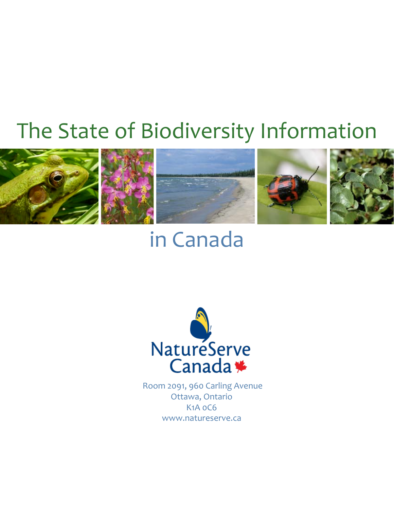# The State of Biodiversity Information



# in Canada



 Room 2091, 960 Carling Avenue Ottawa, Ontario K1A 0C6 www.natureserve.ca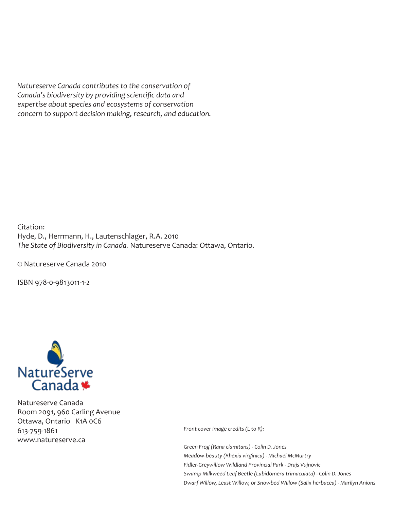*Natureserve Canada contributes to the conservation of Canada's biodiversity by providing scientific data and expertise about species and ecosystems of conservation concern to support decision making, research, and education.*

Citation: Hyde, D., Herrmann, H., Lautenschlager, R.A. 2010 *The State of Biodiversity in Canada.* Natureserve Canada: Ottawa, Ontario.

© Natureserve Canada 2010

ISBN 978-0-9813011-1-2



Natureserve Canada Room 2091, 960 Carling Avenue Ottawa, Ontario K1A 0C6 613-759-1861 www.natureserve.ca

*Front cover image credits (L to R):*

*Green Frog (Rana clamitans) - Colin D. Jones Meadow-beauty (Rhexia virginica) - Michael McMurtry Fidler-Greywillow Wildland Provincial Park - Drajs Vujnovic Swamp Milkweed Leaf Beetle (Labidomera trimaculata) - Colin D. Jones Dwarf Willow, Least Willow, or Snowbed Willow (Salix herbacea) - Marilyn Anions*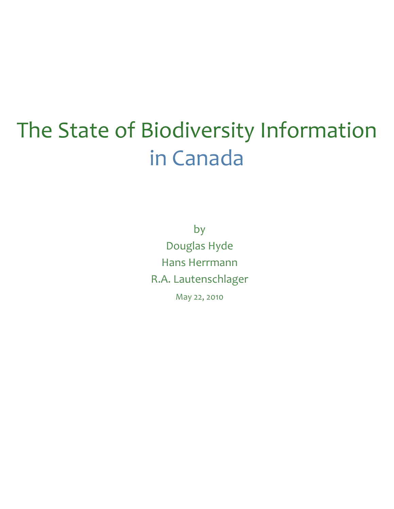# The State of Biodiversity Information in Canada

by Douglas Hyde Hans Herrmann R.A. Lautenschlager May 22, 2010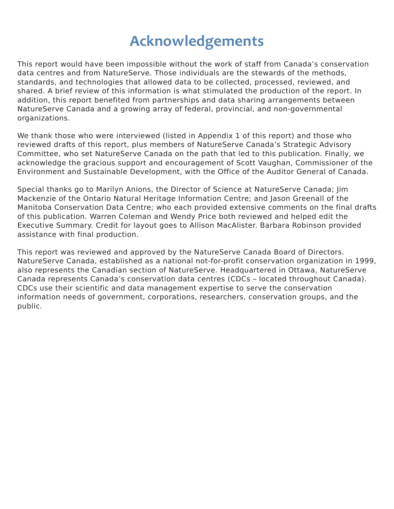# **Acknowledgements**

This report would have been impossible without the work of staff from Canada's conservation data centres and from NatureServe. Those individuals are the stewards of the methods, standards, and technologies that allowed data to be collected, processed, reviewed, and shared. A brief review of this information is what stimulated the production of the report. In addition, this report benefited from partnerships and data sharing arrangements between NatureServe Canada and a growing array of federal, provincial, and non-governmental organizations.

We thank those who were interviewed (listed in Appendix 1 of this report) and those who reviewed drafts of this report, plus members of NatureServe Canada's Strategic Advisory Committee, who set NatureServe Canada on the path that led to this publication. Finally, we acknowledge the gracious support and encouragement of Scott Vaughan, Commissioner of the Environment and Sustainable Development, with the Office of the Auditor General of Canada.

Special thanks go to Marilyn Anions, the Director of Science at NatureServe Canada; Jim Mackenzie of the Ontario Natural Heritage Information Centre; and Jason Greenall of the Manitoba Conservation Data Centre; who each provided extensive comments on the final drafts of this publication. Warren Coleman and Wendy Price both reviewed and helped edit the Executive Summary. Credit for layout goes to Allison MacAlister. Barbara Robinson provided assistance with final production.

This report was reviewed and approved by the NatureServe Canada Board of Directors. NatureServe Canada, established as a national not-for-profit conservation organization in 1999, also represents the Canadian section of NatureServe. Headquartered in Ottawa, NatureServe Canada represents Canada's conservation data centres (CDCs – located throughout Canada). CDCs use their scientific and data management expertise to serve the conservation information needs of government, corporations, researchers, conservation groups, and the public.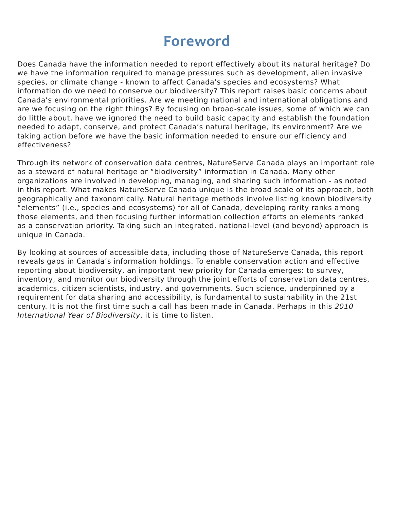# **Foreword**

Does Canada have the information needed to report effectively about its natural heritage? Do we have the information required to manage pressures such as development, alien invasive species, or climate change - known to affect Canada's species and ecosystems? What information do we need to conserve our biodiversity? This report raises basic concerns about Canada's environmental priorities. Are we meeting national and international obligations and are we focusing on the right things? By focusing on broad-scale issues, some of which we can do little about, have we ignored the need to build basic capacity and establish the foundation needed to adapt, conserve, and protect Canada's natural heritage, its environment? Are we taking action before we have the basic information needed to ensure our efficiency and effectiveness?

Through its network of conservation data centres, NatureServe Canada plays an important role as a steward of natural heritage or "biodiversity" information in Canada. Many other organizations are involved in developing, managing, and sharing such information - as noted in this report. What makes NatureServe Canada unique is the broad scale of its approach, both geographically and taxonomically. Natural heritage methods involve listing known biodiversity "elements" (i.e., species and ecosystems) for all of Canada, developing rarity ranks among those elements, and then focusing further information collection efforts on elements ranked as a conservation priority. Taking such an integrated, national-level (and beyond) approach is unique in Canada.

By looking at sources of accessible data, including those of NatureServe Canada, this report reveals gaps in Canada's information holdings. To enable conservation action and effective reporting about biodiversity, an important new priority for Canada emerges: to survey, inventory, and monitor our biodiversity through the joint efforts of conservation data centres, academics, citizen scientists, industry, and governments. Such science, underpinned by a requirement for data sharing and accessibility, is fundamental to sustainability in the 21st century. It is not the first time such a call has been made in Canada. Perhaps in this 2010 International Year of Biodiversity, it is time to listen.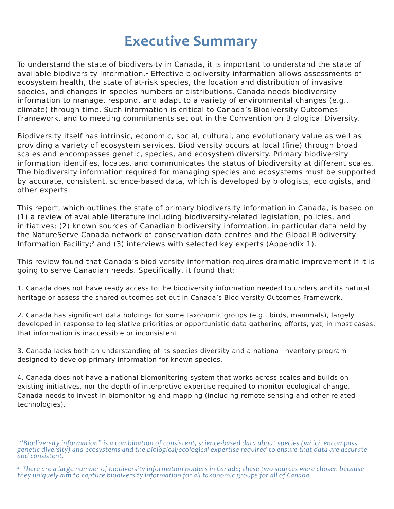# **Executive Summary**

To understand the state of biodiversity in Canada, it is important to understand the state of available biodiversity information.<sup>1</sup> Effective biodiversity information allows assessments of ecosystem health, the state of at-risk species, the location and distribution of invasive species, and changes in species numbers or distributions. Canada needs biodiversity information to manage, respond, and adapt to a variety of environmental changes (e.g., climate) through time. Such information is critical to Canada's Biodiversity Outcomes Framework, and to meeting commitments set out in the Convention on Biological Diversity.

Biodiversity itself has intrinsic, economic, social, cultural, and evolutionary value as well as providing a variety of ecosystem services. Biodiversity occurs at local (fine) through broad scales and encompasses genetic, species, and ecosystem diversity. Primary biodiversity information identifies, locates, and communicates the status of biodiversity at different scales. The biodiversity information required for managing species and ecosystems must be supported by accurate, consistent, science-based data, which is developed by biologists, ecologists, and other experts.

This report, which outlines the state of primary biodiversity information in Canada, is based on (1) a review of available literature including biodiversity-related legislation, policies, and initiatives; (2) known sources of Canadian biodiversity information, in particular data held by the NatureServe Canada network of conservation data centres and the Global Biodiversity Information Facility;2 and (3) interviews with selected key experts (Appendix 1).

This review found that Canada's biodiversity information requires dramatic improvement if it is going to serve Canadian needs. Specifically, it found that:

1. Canada does not have ready access to the biodiversity information needed to understand its natural heritage or assess the shared outcomes set out in Canada's Biodiversity Outcomes Framework.

2. Canada has significant data holdings for some taxonomic groups (e.g., birds, mammals), largely developed in response to legislative priorities or opportunistic data gathering efforts, yet, in most cases, that information is inaccessible or inconsistent.

3. Canada lacks both an understanding of its species diversity and a national inventory program designed to develop primary information for known species.

4. Canada does not have a national biomonitoring system that works across scales and builds on existing initiatives, nor the depth of interpretive expertise required to monitor ecological change. Canada needs to invest in biomonitoring and mapping (including remote-sensing and other related technologies).

*<sup>1 &</sup>quot;Biodiversity information" is a combination of consistent, science-based data about species (which encompass genetic diversity) and ecosystems and the biological/ecological expertise required to ensure that data are accurate and consistent.*

<sup>&</sup>lt;sup>2</sup> There are a large number of biodiversity information holders in Canada; these two sources were chosen because *they uniquely aim to capture biodiversity information for all taxonomic groups for all of Canada.*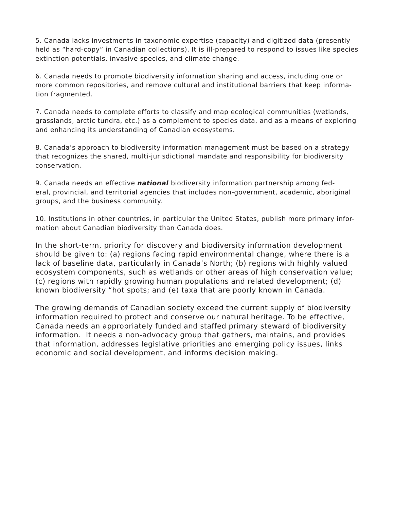5. Canada lacks investments in taxonomic expertise (capacity) and digitized data (presently held as "hard-copy" in Canadian collections). It is ill-prepared to respond to issues like species extinction potentials, invasive species, and climate change.

6. Canada needs to promote biodiversity information sharing and access, including one or more common repositories, and remove cultural and institutional barriers that keep information fragmented.

7. Canada needs to complete efforts to classify and map ecological communities (wetlands, grasslands, arctic tundra, etc.) as a complement to species data, and as a means of exploring and enhancing its understanding of Canadian ecosystems.

8. Canada's approach to biodiversity information management must be based on a strategy that recognizes the shared, multi-jurisdictional mandate and responsibility for biodiversity conservation.

9. Canada needs an effective **national** biodiversity information partnership among federal, provincial, and territorial agencies that includes non-government, academic, aboriginal groups, and the business community.

10. Institutions in other countries, in particular the United States, publish more primary information about Canadian biodiversity than Canada does.

In the short-term, priority for discovery and biodiversity information development should be given to: (a) regions facing rapid environmental change, where there is a lack of baseline data, particularly in Canada's North; (b) regions with highly valued ecosystem components, such as wetlands or other areas of high conservation value; (c) regions with rapidly growing human populations and related development; (d) known biodiversity "hot spots; and (e) taxa that are poorly known in Canada.

The growing demands of Canadian society exceed the current supply of biodiversity information required to protect and conserve our natural heritage. To be effective, Canada needs an appropriately funded and staffed primary steward of biodiversity information. It needs a non-advocacy group that gathers, maintains, and provides that information, addresses legislative priorities and emerging policy issues, links economic and social development, and informs decision making.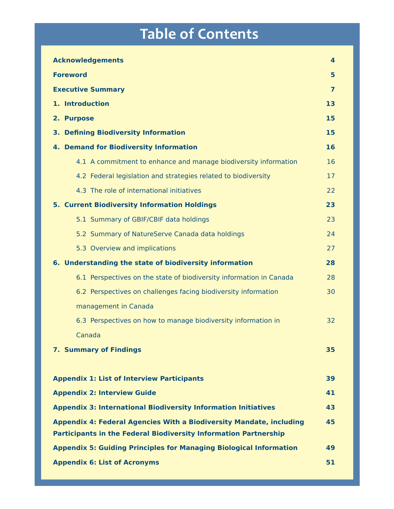# **Table of Contents**

| <b>Acknowledgements</b>                                                                                                                               | 4  |
|-------------------------------------------------------------------------------------------------------------------------------------------------------|----|
| <b>Foreword</b>                                                                                                                                       | 5  |
| <b>Executive Summary</b>                                                                                                                              | 7  |
| 1. Introduction                                                                                                                                       | 13 |
| 2. Purpose                                                                                                                                            | 15 |
| 3. Defining Biodiversity Information                                                                                                                  | 15 |
| 4. Demand for Biodiversity Information                                                                                                                | 16 |
| 4.1 A commitment to enhance and manage biodiversity information                                                                                       | 16 |
| 4.2 Federal legislation and strategies related to biodiversity                                                                                        | 17 |
| 4.3 The role of international initiatives                                                                                                             | 22 |
| <b>5. Current Biodiversity Information Holdings</b>                                                                                                   | 23 |
| 5.1 Summary of GBIF/CBIF data holdings                                                                                                                | 23 |
| 5.2 Summary of NatureServe Canada data holdings                                                                                                       | 24 |
| 5.3 Overview and implications                                                                                                                         | 27 |
| 6. Understanding the state of biodiversity information                                                                                                | 28 |
| 6.1 Perspectives on the state of biodiversity information in Canada                                                                                   | 28 |
| 6.2 Perspectives on challenges facing biodiversity information                                                                                        | 30 |
| management in Canada                                                                                                                                  |    |
| 6.3 Perspectives on how to manage biodiversity information in                                                                                         | 32 |
| Canada                                                                                                                                                |    |
| <b>7. Summary of Findings</b>                                                                                                                         | 35 |
|                                                                                                                                                       |    |
| <b>Appendix 1: List of Interview Participants</b>                                                                                                     | 39 |
| <b>Appendix 2: Interview Guide</b>                                                                                                                    | 41 |
| <b>Appendix 3: International Biodiversity Information Initiatives</b>                                                                                 | 43 |
| <b>Appendix 4: Federal Agencies With a Biodiversity Mandate, including</b><br><b>Participants in the Federal Biodiversity Information Partnership</b> | 45 |
| <b>Appendix 5: Guiding Principles for Managing Biological Information</b>                                                                             | 49 |
| <b>Appendix 6: List of Acronyms</b>                                                                                                                   | 51 |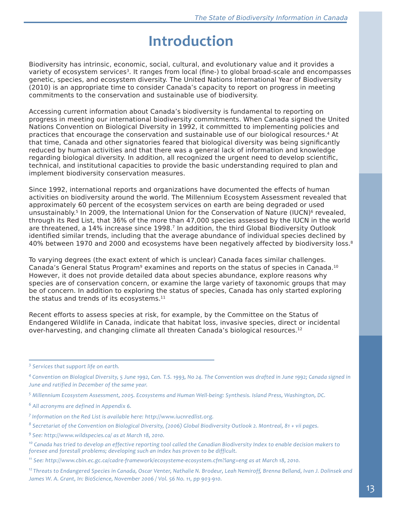# **Introduction**

Biodiversity has intrinsic, economic, social, cultural, and evolutionary value and it provides a variety of ecosystem services<sup>3</sup>. It ranges from local (fine-) to global broad-scale and encompasses genetic, species, and ecosystem diversity. The United Nations International Year of Biodiversity (2010) is an appropriate time to consider Canada's capacity to report on progress in meeting commitments to the conservation and sustainable use of biodiversity.

Accessing current information about Canada's biodiversity is fundamental to reporting on progress in meeting our international biodiversity commitments. When Canada signed the United Nations Convention on Biological Diversity in 1992, it committed to implementing policies and practices that encourage the conservation and sustainable use of our biological resources.4 At that time, Canada and other signatories feared that biological diversity was being significantly reduced by human activities and that there was a general lack of information and knowledge regarding biological diversity. In addition, all recognized the urgent need to develop scientific, technical, and institutional capacities to provide the basic understanding required to plan and implement biodiversity conservation measures.

Since 1992, international reports and organizations have documented the effects of human activities on biodiversity around the world. The Millennium Ecosystem Assessment revealed that approximately 60 percent of the ecosystem services on earth are being degraded or used unsustainably.<sup>5</sup> In 2009, the International Union for the Conservation of Nature (IUCN)<sup>6</sup> revealed, through its Red List, that 36% of the more than 47,000 species assessed by the IUCN in the world are threatened, a 14% increase since 1998.<sup>7</sup> In addition, the third Global Biodiversity Outlook identified similar trends, including that the average abundance of individual species declined by 40% between 1970 and 2000 and ecosystems have been negatively affected by biodiversity loss.<sup>8</sup>

To varying degrees (the exact extent of which is unclear) Canada faces similar challenges. Canada's General Status Program<sup>9</sup> examines and reports on the status of species in Canada.<sup>10</sup> However, it does not provide detailed data about species abundance, explore reasons why species are of conservation concern, or examine the large variety of taxonomic groups that may be of concern. In addition to exploring the status of species, Canada has only started exploring the status and trends of its ecosystems. $11$ 

Recent efforts to assess species at risk, for example, by the Committee on the Status of Endangered Wildlife in Canada, indicate that habitat loss, invasive species, direct or incidental over-harvesting, and changing climate all threaten Canada's biological resources.12

*<sup>3</sup> Services that support life on earth.*

<sup>&</sup>lt;sup>4</sup> Convention on Biological Diversity, 5 June 1992, Can. T.S. 1993, No 24. The Convention was drafted in June 1992; Canada signed in *June and ratified in December of the same year.*

*<sup>5</sup> Millennium Ecosystem Assessment, 2005. Ecosystems and Human Well-being: Synthesis. Island Press, Washington, DC.*

*<sup>6</sup> All acronyms are defined in Appendix 6.*

*<sup>7</sup> Information on the Red List is available here: http://www.iucnredlist.org.*

*<sup>8</sup> Secretariat of the Convention on Biological Diversity, (2006) Global Biodiversity Outlook 2. Montreal, 81 + vii pages.*

*<sup>9</sup> See: http://www.wildspecies.ca/ as at March 18, 2010.*

*<sup>10</sup> Canada has tried to develop an effective reporting tool called the Canadian Biodiversity Index to enable decision makers to foresee and forestall problems; developing such an index has proven to be difficult.*

*<sup>11</sup> See: http://www.cbin.ec.gc.ca/cadre-framework/ecosysteme-ecosystem.cfm?lang=eng as at March 18, 2010.*

*<sup>12</sup> Threats to Endangered Species in Canada, Oscar Venter, Nathalie N. Brodeur, Leah Nemiroff, Brenna Belland, Ivan J. Dolinsek and James W. A. Grant, In: BioScience, November 2006 / Vol. 56 No. 11, pp 903-910.*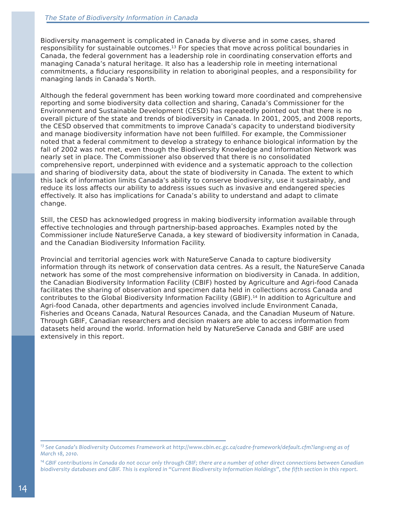Biodiversity management is complicated in Canada by diverse and in some cases, shared responsibility for sustainable outcomes.<sup>13</sup> For species that move across political boundaries in Canada, the federal government has a leadership role in coordinating conservation efforts and managing Canada's natural heritage. It also has a leadership role in meeting international commitments, a fiduciary responsibility in relation to aboriginal peoples, and a responsibility for managing lands in Canada's North.

Although the federal government has been working toward more coordinated and comprehensive reporting and some biodiversity data collection and sharing, Canada's Commissioner for the Environment and Sustainable Development (CESD) has repeatedly pointed out that there is no overall picture of the state and trends of biodiversity in Canada. In 2001, 2005, and 2008 reports, the CESD observed that commitments to improve Canada's capacity to understand biodiversity and manage biodiversity information have not been fulfilled. For example, the Commissioner noted that a federal commitment to develop a strategy to enhance biological information by the fall of 2002 was not met, even though the Biodiversity Knowledge and Information Network was nearly set in place. The Commissioner also observed that there is no consolidated comprehensive report, underpinned with evidence and a systematic approach to the collection and sharing of biodiversity data, about the state of biodiversity in Canada. The extent to which this lack of information limits Canada's ability to conserve biodiversity, use it sustainably, and reduce its loss affects our ability to address issues such as invasive and endangered species effectively. It also has implications for Canada's ability to understand and adapt to climate change.

Still, the CESD has acknowledged progress in making biodiversity information available through effective technologies and through partnership-based approaches. Examples noted by the Commissioner include NatureServe Canada, a key steward of biodiversity information in Canada, and the Canadian Biodiversity Information Facility.

Provincial and territorial agencies work with NatureServe Canada to capture biodiversity information through its network of conservation data centres. As a result, the NatureServe Canada network has some of the most comprehensive information on biodiversity in Canada. In addition, the Canadian Biodiversity Information Facility (CBIF) hosted by Agriculture and Agri-food Canada facilitates the sharing of observation and specimen data held in collections across Canada and contributes to the Global Biodiversity Information Facility (GBIF).<sup>14</sup> In addition to Agriculture and Agri-food Canada, other departments and agencies involved include Environment Canada, Fisheries and Oceans Canada, Natural Resources Canada, and the Canadian Museum of Nature. Through GBIF, Canadian researchers and decision makers are able to access information from datasets held around the world. Information held by NatureServe Canada and GBIF are used extensively in this report.

*<sup>13</sup> See Canada's Biodiversity Outcomes Framework at http://www.cbin.ec.gc.ca/cadre-framework/default.cfm?lang=eng as of March 18, 2010.*

*<sup>14</sup> GBIF contributions in Canada do not occur only through CBIF; there are a number of other direct connections between Canadian biodiversity databases and GBIF. This is explored in "Current Biodiversity Information Holdings", the fifth section in this report.*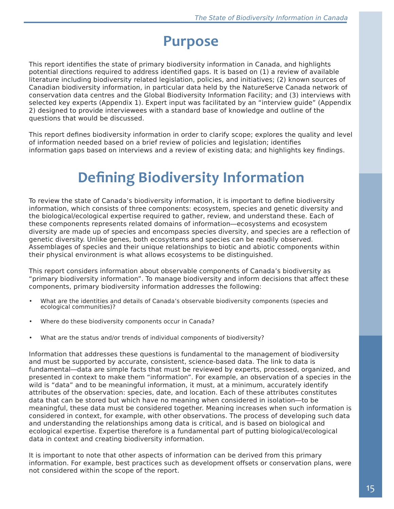# **Purpose**

This report identifies the state of primary biodiversity information in Canada, and highlights potential directions required to address identified gaps. It is based on (1) a review of available literature including biodiversity related legislation, policies, and initiatives; (2) known sources of Canadian biodiversity information, in particular data held by the NatureServe Canada network of conservation data centres and the Global Biodiversity Information Facility; and (3) interviews with selected key experts (Appendix 1). Expert input was facilitated by an "interview guide" (Appendix 2) designed to provide interviewees with a standard base of knowledge and outline of the questions that would be discussed.

This report defines biodiversity information in order to clarify scope; explores the quality and level of information needed based on a brief review of policies and legislation; identifies information gaps based on interviews and a review of existing data; and highlights key findings.

# **Defining Biodiversity Information**

To review the state of Canada's biodiversity information, it is important to define biodiversity information, which consists of three components: ecosystem, species and genetic diversity and the biological/ecological expertise required to gather, review, and understand these. Each of these components represents related domains of information—ecosystems and ecosystem diversity are made up of species and encompass species diversity, and species are a reflection of genetic diversity. Unlike genes, both ecosystems and species can be readily observed. Assemblages of species and their unique relationships to biotic and abiotic components within their physical environment is what allows ecosystems to be distinguished.

This report considers information about observable components of Canada's biodiversity as "primary biodiversity information". To manage biodiversity and inform decisions that affect these components, primary biodiversity information addresses the following:

- What are the identities and details of Canada's observable biodiversity components (species and ecological communities)?
- Where do these biodiversity components occur in Canada?
- What are the status and/or trends of individual components of biodiversity?

Information that addresses these questions is fundamental to the management of biodiversity and must be supported by accurate, consistent, science-based data. The link to data is fundamental—data are simple facts that must be reviewed by experts, processed, organized, and presented in context to make them "information". For example, an observation of a species in the wild is "data" and to be meaningful information, it must, at a minimum, accurately identify attributes of the observation: species, date, and location. Each of these attributes constitutes data that can be stored but which have no meaning when considered in isolation—to be meaningful, these data must be considered together. Meaning increases when such information is considered in context, for example, with other observations. The process of developing such data and understanding the relationships among data is critical, and is based on biological and ecological expertise. Expertise therefore is a fundamental part of putting biological/ecological data in context and creating biodiversity information.

It is important to note that other aspects of information can be derived from this primary information. For example, best practices such as development offsets or conservation plans, were not considered within the scope of the report.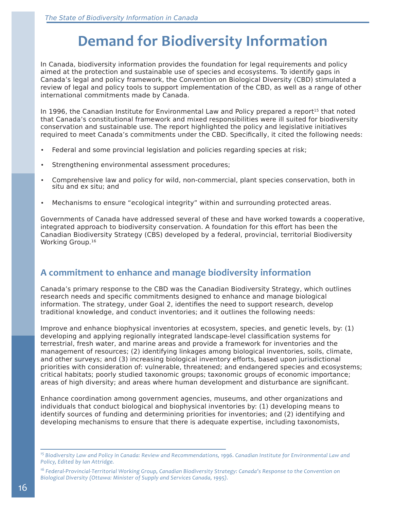# **Demand for Biodiversity Information**

In Canada, biodiversity information provides the foundation for legal requirements and policy aimed at the protection and sustainable use of species and ecosystems. To identify gaps in Canada's legal and policy framework, the Convention on Biological Diversity (CBD) stimulated a review of legal and policy tools to support implementation of the CBD, as well as a range of other international commitments made by Canada.

In 1996, the Canadian Institute for Environmental Law and Policy prepared a report<sup>15</sup> that noted that Canada's constitutional framework and mixed responsibilities were ill suited for biodiversity conservation and sustainable use. The report highlighted the policy and legislative initiatives required to meet Canada's commitments under the CBD. Specifically, it cited the following needs:

- Federal and some provincial legislation and policies regarding species at risk;
- Strengthening environmental assessment procedures;
- Comprehensive law and policy for wild, non-commercial, plant species conservation, both in situ and ex situ; and
- Mechanisms to ensure "ecological integrity" within and surrounding protected areas.

Governments of Canada have addressed several of these and have worked towards a cooperative, integrated approach to biodiversity conservation. A foundation for this effort has been the Canadian Biodiversity Strategy (CBS) developed by a federal, provincial, territorial Biodiversity Working Group.16

### **A commitment to enhance and manage biodiversity information**

Canada's primary response to the CBD was the Canadian Biodiversity Strategy, which outlines research needs and specific commitments designed to enhance and manage biological information. The strategy, under Goal 2, identifies the need to support research, develop traditional knowledge, and conduct inventories; and it outlines the following needs:

Improve and enhance biophysical inventories at ecosystem, species, and genetic levels, by: (1) developing and applying regionally integrated landscape-level classification systems for terrestrial, fresh water, and marine areas and provide a framework for inventories and the management of resources; (2) identifying linkages among biological inventories, soils, climate, and other surveys; and (3) increasing biological inventory efforts, based upon jurisdictional priorities with consideration of: vulnerable, threatened; and endangered species and ecosystems; critical habitats; poorly studied taxonomic groups; taxonomic groups of economic importance; areas of high diversity; and areas where human development and disturbance are significant.

Enhance coordination among government agencies, museums, and other organizations and individuals that conduct biological and biophysical inventories by: (1) developing means to identify sources of funding and determining priorities for inventories; and (2) identifying and developing mechanisms to ensure that there is adequate expertise, including taxonomists,

*<sup>15</sup> Biodiversity Law and Policy in Canada: Review and Recommendations, 1996. Canadian Institute for Environmental Law and Policy, Edited by Ian Attridge.*

<sup>&</sup>lt;sup>16</sup> Federal-Provincial-Territorial Working Group, Canadian Biodiversity Strategy: Canada's Response to the Convention on *Biological Diversity (Ottawa: Minister of Supply and Services Canada, 1995).*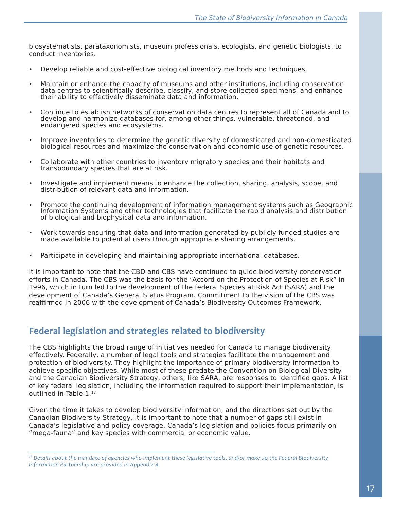biosystematists, parataxonomists, museum professionals, ecologists, and genetic biologists, to conduct inventories.

- Develop reliable and cost-effective biological inventory methods and techniques.
- Maintain or enhance the capacity of museums and other institutions, including conservation data centres to scientifically describe, classify, and store collected specimens, and enhance their ability to effectively disseminate data and information.
- Continue to establish networks of conservation data centres to represent all of Canada and to develop and harmonize databases for, among other things, vulnerable, threatened, and endangered species and ecosystems.
- Improve inventories to determine the genetic diversity of domesticated and non-domesticated biological resources and maximize the conservation and economic use of genetic resources.
- Collaborate with other countries to inventory migratory species and their habitats and transboundary species that are at risk.
- Investigate and implement means to enhance the collection, sharing, analysis, scope, and distribution of relevant data and information.
- Promote the continuing development of information management systems such as Geographic Information Systems and other technologies that facilitate the rapid analysis and distribution of biological and biophysical data and information.
- Work towards ensuring that data and information generated by publicly funded studies are made available to potential users through appropriate sharing arrangements.
- Participate in developing and maintaining appropriate international databases.

It is important to note that the CBD and CBS have continued to guide biodiversity conservation efforts in Canada. The CBS was the basis for the "Accord on the Protection of Species at Risk" in 1996, which in turn led to the development of the federal Species at Risk Act (SARA) and the development of Canada's General Status Program. Commitment to the vision of the CBS was reaffirmed in 2006 with the development of Canada's Biodiversity Outcomes Framework.

### **Federal legislation and strategies related to biodiversity**

The CBS highlights the broad range of initiatives needed for Canada to manage biodiversity effectively. Federally, a number of legal tools and strategies facilitate the management and protection of biodiversity. They highlight the importance of primary biodiversity information to achieve specific objectives. While most of these predate the Convention on Biological Diversity and the Canadian Biodiversity Strategy, others, like SARA, are responses to identified gaps. A list of key federal legislation, including the information required to support their implementation, is outlined in Table 1.<sup>17</sup>

Given the time it takes to develop biodiversity information, and the directions set out by the Canadian Biodiversity Strategy, it is important to note that a number of gaps still exist in Canada's legislative and policy coverage. Canada's legislation and policies focus primarily on "mega-fauna" and key species with commercial or economic value.

*<sup>17</sup> Details about the mandate of agencies who implement these legislative tools, and/or make up the Federal Biodiversity Information Partnership are provided in Appendix 4.*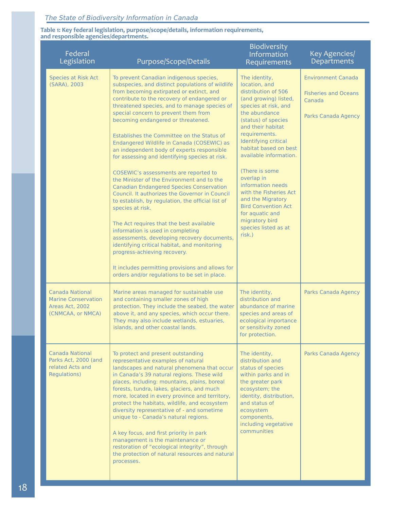#### **Table 1: Key federal legislation, purpose/scope/details, information requirements, and responsible agencies/departments.**

| Federal<br>Legislation                                                                | Purpose/Scope/Details                                                                                                                                                                                                                                                                                                                                                                                                                                                                                                                                                                                                                                                                                                                                                                                                                                                                                                                                                                                                                                                                                      | Biodiversity<br>Information<br>Requirements                                                                                                                                                                                                                                                                                                                                                                                                                              | Key Agencies/<br>Departments                                                              |
|---------------------------------------------------------------------------------------|------------------------------------------------------------------------------------------------------------------------------------------------------------------------------------------------------------------------------------------------------------------------------------------------------------------------------------------------------------------------------------------------------------------------------------------------------------------------------------------------------------------------------------------------------------------------------------------------------------------------------------------------------------------------------------------------------------------------------------------------------------------------------------------------------------------------------------------------------------------------------------------------------------------------------------------------------------------------------------------------------------------------------------------------------------------------------------------------------------|--------------------------------------------------------------------------------------------------------------------------------------------------------------------------------------------------------------------------------------------------------------------------------------------------------------------------------------------------------------------------------------------------------------------------------------------------------------------------|-------------------------------------------------------------------------------------------|
| <b>Species at Risk Act</b><br>(SARA), 2003                                            | To prevent Canadian indigenous species,<br>subspecies, and distinct populations of wildlife<br>from becoming extirpated or extinct, and<br>contribute to the recovery of endangered or<br>threatened species, and to manage species of<br>special concern to prevent them from<br>becoming endangered or threatened.<br>Establishes the Committee on the Status of<br>Endangered Wildlife in Canada (COSEWIC) as<br>an independent body of experts responsible<br>for assessing and identifying species at risk.<br>COSEWIC's assessments are reported to<br>the Minister of the Environment and to the<br><b>Canadian Endangered Species Conservation</b><br>Council, It authorizes the Governor in Council<br>to establish, by regulation, the official list of<br>species at risk.<br>The Act requires that the best available<br>information is used in completing<br>assessments, developing recovery documents,<br>identifying critical habitat, and monitoring<br>progress-achieving recovery.<br>It includes permitting provisions and allows for<br>orders and/or regulations to be set in place. | The identity,<br>location, and<br>distribution of 506<br>(and growing) listed,<br>species at risk, and<br>the abundance<br>(status) of species<br>and their habitat<br>requirements.<br>Identifying critical<br>habitat based on best<br>available information.<br>(There is some<br>overlap in<br>information needs<br>with the Fisheries Act<br>and the Migratory<br><b>Bird Convention Act</b><br>for aquatic and<br>migratory bird<br>species listed as at<br>risk.) | <b>Environment Canada</b><br><b>Fisheries and Oceans</b><br>Canada<br>Parks Canada Agency |
| Canada National<br><b>Marine Conservation</b><br>Areas Act, 2002<br>(CNMCAA, or NMCA) | Marine areas managed for sustainable use<br>and containing smaller zones of high<br>protection. They include the seabed, the water<br>above it, and any species, which occur there.<br>They may also include wetlands, estuaries,<br>islands, and other coastal lands.                                                                                                                                                                                                                                                                                                                                                                                                                                                                                                                                                                                                                                                                                                                                                                                                                                     | The identity,<br>distribution and<br>abundance of marine<br>species and areas of<br>ecological importance<br>or sensitivity zoned<br>for protection.                                                                                                                                                                                                                                                                                                                     | <b>Parks Canada Agency</b>                                                                |
| <b>Canada National</b><br>Parks Act, 2000 (and<br>related Acts and<br>Regulations)    | To protect and present outstanding<br>representative examples of natural<br>landscapes and natural phenomena that occur<br>in Canada's 39 natural regions. These wild<br>places, including: mountains, plains, boreal<br>forests, tundra, lakes, glaciers, and much<br>more, located in every province and territory,<br>protect the habitats, wildlife, and ecosystem<br>diversity representative of - and sometime<br>unique to - Canada's natural regions.<br>A key focus, and first priority in park<br>management is the maintenance or<br>restoration of "ecological integrity", through<br>the protection of natural resources and natural<br>processes.                                                                                                                                                                                                                                                                                                                                                                                                                                            | The identity,<br>distribution and<br>status of species<br>within parks and in<br>the greater park<br>ecosystem; the<br>identity, distribution,<br>and status of<br>ecosystem<br>components,<br>including vegetative<br>communities                                                                                                                                                                                                                                       | Parks Canada Agency                                                                       |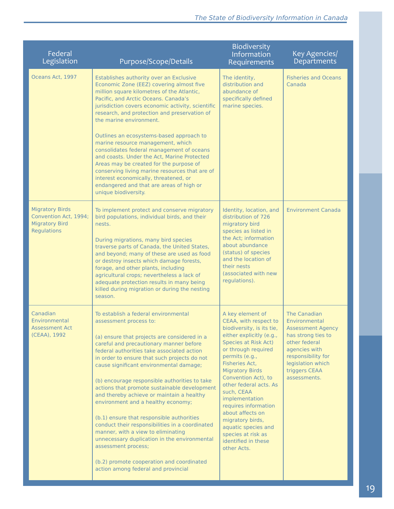| Federal<br>Legislation                                                                  | Purpose/Scope/Details                                                                                                                                                                                                                                                                                                                                                                                                                                                                                                                                                                                                                                                                                                                                                                   | Biodiversity<br>Information<br>Requirements                                                                                                                                                                                                                                                                                                                                                                                                                | Key Agencies/<br>Departments                                                                                                                                                                  |
|-----------------------------------------------------------------------------------------|-----------------------------------------------------------------------------------------------------------------------------------------------------------------------------------------------------------------------------------------------------------------------------------------------------------------------------------------------------------------------------------------------------------------------------------------------------------------------------------------------------------------------------------------------------------------------------------------------------------------------------------------------------------------------------------------------------------------------------------------------------------------------------------------|------------------------------------------------------------------------------------------------------------------------------------------------------------------------------------------------------------------------------------------------------------------------------------------------------------------------------------------------------------------------------------------------------------------------------------------------------------|-----------------------------------------------------------------------------------------------------------------------------------------------------------------------------------------------|
| Oceans Act, 1997                                                                        | Establishes authority over an Exclusive<br>Economic Zone (EEZ) covering almost five<br>million square kilometres of the Atlantic,<br>Pacific, and Arctic Oceans. Canada's<br>jurisdiction covers economic activity, scientific<br>research, and protection and preservation of<br>the marine environment.<br>Outlines an ecosystems-based approach to<br>marine resource management, which<br>consolidates federal management of oceans<br>and coasts. Under the Act, Marine Protected<br>Areas may be created for the purpose of<br>conserving living marine resources that are of<br>interest economically, threatened, or<br>endangered and that are areas of high or<br>unique biodiversity.                                                                                        | The identity,<br>distribution and<br>abundance of<br>specifically defined<br>marine species.                                                                                                                                                                                                                                                                                                                                                               | <b>Fisheries and Oceans</b><br>Canada                                                                                                                                                         |
| <b>Migratory Birds</b><br>Convention Act, 1994;<br><b>Migratory Bird</b><br>Regulations | To implement protect and conserve migratory<br>bird populations, individual birds, and their<br>nests.<br>During migrations, many bird species<br>traverse parts of Canada, the United States,<br>and beyond; many of these are used as food<br>or destroy insects which damage forests,<br>forage, and other plants, including<br>agricultural crops; nevertheless a lack of<br>adequate protection results in many being<br>killed during migration or during the nesting<br>season.                                                                                                                                                                                                                                                                                                  | Identity, location, and<br>distribution of 726<br>migratory bird<br>species as listed in<br>the Act: information<br>about abundance<br>(status) of species<br>and the location of<br>their nests<br>(associated with new<br>regulations).                                                                                                                                                                                                                  | <b>Environment Canada</b>                                                                                                                                                                     |
| Canadian<br>Environmental<br><b>Assessment Act</b><br>(CEAA), 1992                      | To establish a federal environmental<br>assessment process to:<br>(a) ensure that projects are considered in a<br>careful and precautionary manner before<br>federal authorities take associated action<br>in order to ensure that such projects do not<br>cause significant environmental damage;<br>(b) encourage responsible authorities to take<br>actions that promote sustainable development<br>and thereby achieve or maintain a healthy<br>environment and a healthy economy;<br>(b.1) ensure that responsible authorities<br>conduct their responsibilities in a coordinated<br>manner, with a view to eliminating<br>unnecessary duplication in the environmental<br>assessment process;<br>(b.2) promote cooperation and coordinated<br>action among federal and provincial | A key element of<br>CEAA, with respect to<br>biodiversity, is its tie,<br>either explicitly (e.g.,<br><b>Species at Risk Act)</b><br>or through required<br>permits (e.g.,<br>Fisheries Act,<br><b>Migratory Birds</b><br>Convention Act), to<br>other federal acts. As<br>such, CEAA<br>implementation<br>requires information<br>about affects on<br>migratory birds,<br>aquatic species and<br>species at risk as<br>identified in these<br>other Acts. | The Canadian<br>Environmental<br><b>Assessment Agency</b><br>has strong ties to<br>other federal<br>agencies with<br>responsibility for<br>legislation which<br>triggers CEAA<br>assessments. |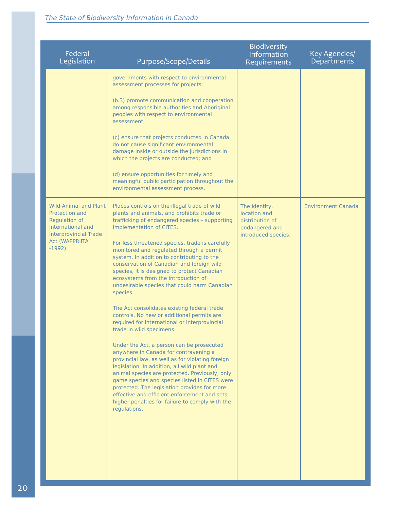| Federal<br>Legislation                                                                                                                                    | Purpose/Scope/Details                                                                                                                                                                                                                                                                                                                                                                                                                                                                                                                                                                                                                                                                                                                                                                                                                                                                                                                                                                                                                                                                                                                                          | <b>Biodiversity</b><br>Information<br>Requirements                                        | Key Agencies/<br><b>Departments</b> |
|-----------------------------------------------------------------------------------------------------------------------------------------------------------|----------------------------------------------------------------------------------------------------------------------------------------------------------------------------------------------------------------------------------------------------------------------------------------------------------------------------------------------------------------------------------------------------------------------------------------------------------------------------------------------------------------------------------------------------------------------------------------------------------------------------------------------------------------------------------------------------------------------------------------------------------------------------------------------------------------------------------------------------------------------------------------------------------------------------------------------------------------------------------------------------------------------------------------------------------------------------------------------------------------------------------------------------------------|-------------------------------------------------------------------------------------------|-------------------------------------|
|                                                                                                                                                           | governments with respect to environmental<br>assessment processes for projects;<br>(b.3) promote communication and cooperation<br>among responsible authorities and Aboriginal<br>peoples with respect to environmental<br>assessment:<br>(c) ensure that projects conducted in Canada<br>do not cause significant environmental<br>damage inside or outside the jurisdictions in<br>which the projects are conducted; and<br>(d) ensure opportunities for timely and<br>meaningful public participation throughout the<br>environmental assessment process.                                                                                                                                                                                                                                                                                                                                                                                                                                                                                                                                                                                                   |                                                                                           |                                     |
| <b>Wild Animal and Plant</b><br>Protection and<br>Regulation of<br>International and<br><b>Interprovincial Trade</b><br><b>Act (WAPPRIITA</b><br>$-1992)$ | Places controls on the illegal trade of wild<br>plants and animals, and prohibits trade or<br>trafficking of endangered species - supporting<br>implementation of CITES.<br>For less threatened species, trade is carefully<br>monitored and regulated through a permit<br>system. In addition to contributing to the<br>conservation of Canadian and foreign wild<br>species, it is designed to protect Canadian<br>ecosystems from the introduction of<br>undesirable species that could harm Canadian<br>species.<br>The Act consolidates existing federal trade<br>controls. No new or additional permits are<br>required for international or interprovincial<br>trade in wild specimens.<br>Under the Act, a person can be prosecuted<br>anywhere in Canada for contravening a<br>provincial law, as well as for violating foreign<br>legislation. In addition, all wild plant and<br>animal species are protected. Previously, only<br>game species and species listed in CITES were<br>protected. The legislation provides for more<br>effective and efficient enforcement and sets<br>higher penalties for failure to comply with the<br>regulations. | The identity,<br>location and<br>distribution of<br>endangered and<br>introduced species. | <b>Environment Canada</b>           |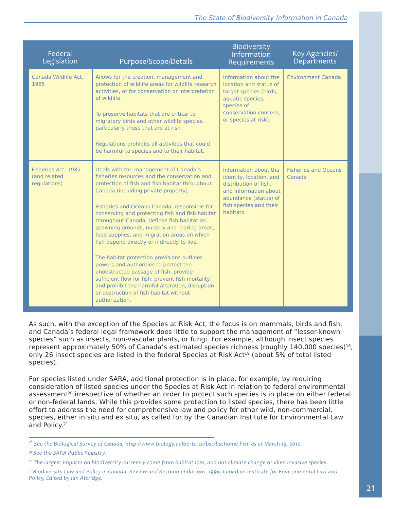| Federal<br>Legislation                              | Purpose/Scope/Details                                                                                                                                                                                                                                                                                                                                                                                                                                                                                                                                                                                                                                                                                                                                                               | Biodiversity<br>Information<br>Requirements                                                                                                                        | Key Agencies/<br>Departments          |
|-----------------------------------------------------|-------------------------------------------------------------------------------------------------------------------------------------------------------------------------------------------------------------------------------------------------------------------------------------------------------------------------------------------------------------------------------------------------------------------------------------------------------------------------------------------------------------------------------------------------------------------------------------------------------------------------------------------------------------------------------------------------------------------------------------------------------------------------------------|--------------------------------------------------------------------------------------------------------------------------------------------------------------------|---------------------------------------|
| Canada Wildlife Act.<br>1985                        | Allows for the creation, management and<br>protection of wildlife areas for wildlife research<br>activities, or for conservation or interpretation<br>of wildlife.<br>To preserve habitats that are critical to<br>migratory birds and other wildlife species,<br>particularly those that are at risk.<br>Regulations prohibits all activities that could<br>be harmful to species and to their habitat.                                                                                                                                                                                                                                                                                                                                                                            | Information about the<br>location and status of<br>target species (birds,<br>aquatic species,<br>species of<br>conservation concern.<br>or species at risk).       | <b>Environment Canada</b>             |
| Fisheries Act, 1985<br>(and related<br>regulations) | Deals with the management of Canada's<br>fisheries resources and the conservation and<br>protection of fish and fish habitat throughout<br>Canada (including private property).<br>Fisheries and Oceans Canada, responsible for<br>conserving and protecting fish and fish habitat<br>throughout Canada, defines fish habitat as:<br>spawning grounds, nursery and rearing areas,<br>food supplies, and migration areas on which<br>fish depend directly or indirectly to live.<br>The habitat protection provisions outlines<br>powers and authorities to protect the<br>unobstructed passage of fish, provide<br>sufficient flow for fish, prevent fish mortality,<br>and prohibit the harmful alteration, disruption<br>or destruction of fish habitat without<br>authorization. | Information about the<br>identity, location, and<br>distribution of fish,<br>and information about<br>abundance (status) of<br>fish species and their<br>habitats. | <b>Fisheries and Oceans</b><br>Canada |

As such, with the exception of the Species at Risk Act, the focus is on mammals, birds and fish, and Canada's federal legal framework does little to support the management of "lesser-known species" such as insects, non-vascular plants, or fungi. For example, although insect species represent approximately 50% of Canada's estimated species richness (roughly 140,000 species)<sup>18</sup>, only 26 insect species are listed in the federal Species at Risk Act<sup>19</sup> (about 5% of total listed species).

For species listed under SARA, additional protection is in place, for example, by requiring consideration of listed species under the Species at Risk Act in relation to federal environmental assessment<sup>20</sup> irrespective of whether an order to protect such species is in place on either federal or non-federal lands. While this provides some protection to listed species, there has been little effort to address the need for comprehensive law and policy for other wild, non-commercial, species, either in situ and ex situ, as called for by the Canadian Institute for Environmental Law and Policy.<sup>21</sup>

<sup>&</sup>lt;sup>18</sup> See the Biological Survey of Canada, http://www.biology.ualberta.ca/bsc/bschome.htm as at March 19, 2010.

*<sup>19</sup> See the SARA Public Registry.*

*<sup>20</sup> The largest impacts on biodiversity currently come from habitat loss, and not climate change or alien invasive species.*

<sup>&</sup>lt;sup>21</sup> Biodiversity Law and Policy in Canada: Review and Recommendations, 1996. Canadian Institute for Environmental Law and *Policy, Edited by Ian Attridge.*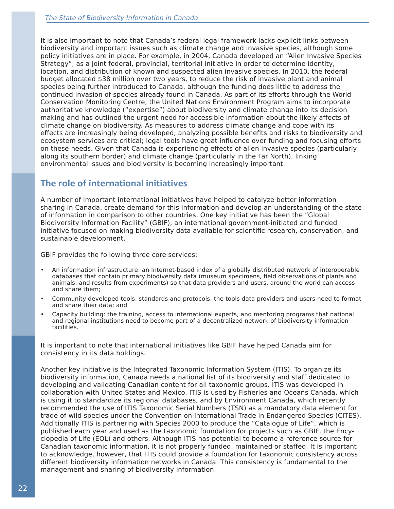It is also important to note that Canada's federal legal framework lacks explicit links between biodiversity and important issues such as climate change and invasive species, although some policy initiatives are in place. For example, in 2004, Canada developed an "Alien Invasive Species Strategy", as a joint federal, provincial, territorial initiative in order to determine identity, location, and distribution of known and suspected alien invasive species. In 2010, the federal budget allocated \$38 million over two years, to reduce the risk of invasive plant and animal species being further introduced to Canada, although the funding does little to address the continued invasion of species already found in Canada. As part of its efforts through the World Conservation Monitoring Centre, the United Nations Environment Program aims to incorporate authoritative knowledge ("expertise") about biodiversity and climate change into its decision making and has outlined the urgent need for accessible information about the likely affects of climate change on biodiversity. As measures to address climate change and cope with its effects are increasingly being developed, analyzing possible benefits and risks to biodiversity and ecosystem services are critical; legal tools have great influence over funding and focusing efforts on these needs. Given that Canada is experiencing effects of alien invasive species (particularly along its southern border) and climate change (particularly in the Far North), linking environmental issues and biodiversity is becoming increasingly important.

### **The role of international initiatives**

A number of important international initiatives have helped to catalyze better information sharing in Canada, create demand for this information and develop an understanding of the state of information in comparison to other countries. One key initiative has been the "Global Biodiversity Information Facility" (GBIF), an international government-initiated and funded initiative focused on making biodiversity data available for scientific research, conservation, and sustainable development.

GBIF provides the following three core services:

- An information infrastructure: an Internet-based index of a globally distributed network of interoperable databases that contain primary biodiversity data (museum specimens, field observations of plants and animals, and results from experiments) so that data providers and users, around the world can access and share them;
- Community developed tools, standards and protocols: the tools data providers and users need to format and share their data; and
- Capacity building: the training, access to international experts, and mentoring programs that national and regional institutions need to become part of a decentralized network of biodiversity information facilities.

It is important to note that international initiatives like GBIF have helped Canada aim for consistency in its data holdings.

Another key initiative is the Integrated Taxonomic Information System (ITIS). To organize its biodiversity information, Canada needs a national list of its biodiversity and staff dedicated to developing and validating Canadian content for all taxonomic groups. ITIS was developed in collaboration with United States and Mexico. ITIS is used by Fisheries and Oceans Canada, which is using it to standardize its regional databases, and by Environment Canada, which recently recommended the use of ITIS Taxonomic Serial Numbers (TSN) as a mandatory data element for trade of wild species under the Convention on International Trade in Endangered Species (CITES). Additionally ITIS is partnering with Species 2000 to produce the "Catalogue of Life", which is published each year and used as the taxonomic foundation for projects such as GBIF, the Encyclopedia of Life (EOL) and others. Although ITIS has potential to become a reference source for Canadian taxonomic information, it is not properly funded, maintained or staffed. It is important to acknowledge, however, that ITIS could provide a foundation for taxonomic consistency across different biodiversity information networks in Canada. This consistency is fundamental to the management and sharing of biodiversity information.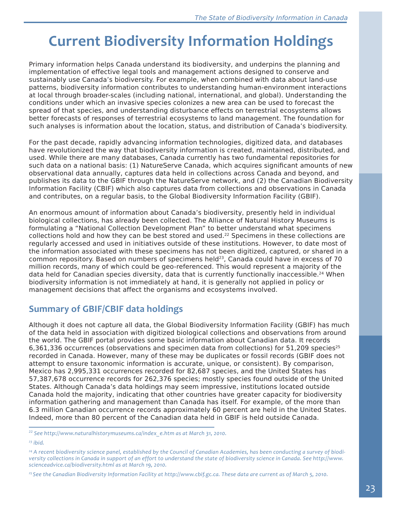# **Current Biodiversity Information Holdings**

Primary information helps Canada understand its biodiversity, and underpins the planning and implementation of effective legal tools and management actions designed to conserve and sustainably use Canada's biodiversity. For example, when combined with data about land-use patterns, biodiversity information contributes to understanding human-environment interactions at local through broader-scales (including national, international, and global). Understanding the conditions under which an invasive species colonizes a new area can be used to forecast the spread of that species, and understanding disturbance effects on terrestrial ecosystems allows better forecasts of responses of terrestrial ecosystems to land management. The foundation for such analyses is information about the location, status, and distribution of Canada's biodiversity.

For the past decade, rapidly advancing information technologies, digitized data, and databases have revolutionized the way that biodiversity information is created, maintained, distributed, and used. While there are many databases, Canada currently has two fundamental repositories for such data on a national basis: (1) NatureServe Canada, which acquires significant amounts of new observational data annually, captures data held in collections across Canada and beyond, and publishes its data to the GBIF through the NatureServe network, and (2) the Canadian Biodiversity Information Facility (CBIF) which also captures data from collections and observations in Canada and contributes, on a regular basis, to the Global Biodiversity Information Facility (GBIF).

An enormous amount of information about Canada's biodiversity, presently held in individual biological collections, has already been collected. The Alliance of Natural History Museums is formulating a "National Collection Development Plan" to better understand what specimens collections hold and how they can be best stored and used.<sup>22</sup> Specimens in these collections are regularly accessed and used in initiatives outside of these institutions. However, to date most of the information associated with these specimens has not been digitized, captured, or shared in a common repository. Based on numbers of specimens held $^{23}$ , Canada could have in excess of 70 million records, many of which could be geo-referenced. This would represent a majority of the data held for Canadian species diversity, data that is currently functionally inaccessible.<sup>24</sup> When biodiversity information is not immediately at hand, it is generally not applied in policy or management decisions that affect the organisms and ecosystems involved.

### **Summary of GBIF/CBIF data holdings**

Although it does not capture all data, the Global Biodiversity Information Facility (GBIF) has much of the data held in association with digitized biological collections and observations from around the world. The GBIF portal provides some basic information about Canadian data. It records 6,361,336 occurrences (observations and specimen data from collections) for 51,209 species<sup>25</sup> recorded in Canada. However, many of these may be duplicates or fossil records (GBIF does not attempt to ensure taxonomic information is accurate, unique, or consistent). By comparison, Mexico has 2,995,331 occurrences recorded for 82,687 species, and the United States has 57,387,678 occurrence records for 262,376 species; mostly species found outside of the United States. Although Canada's data holdings may seem impressive, institutions located outside Canada hold the majority, indicating that other countries have greater capacity for biodiversity information gathering and management than Canada has itself. For example, of the more than 6.3 million Canadian occurrence records approximately 60 percent are held in the United States. Indeed, more than 80 percent of the Canadian data held in GBIF is held outside Canada.

*22 See http://www.naturalhistorymuseums.ca/index\_e.htm as at March 31, 2010.*

*23 ibid.*

*25 See the Canadian Biodiversity Information Facility at http://www.cbif.gc.ca. These data are current as of March 5, 2010.*

*<sup>24</sup> A recent biodiversity science panel, established by the Council of Canadian Academies, has been conducting a survey of biodiversity collections in Canada in support of an effort to understand the state of biodiversity science in Canada. See http://www. scienceadvice.ca/biodiversity.html as at March 19, 2010.*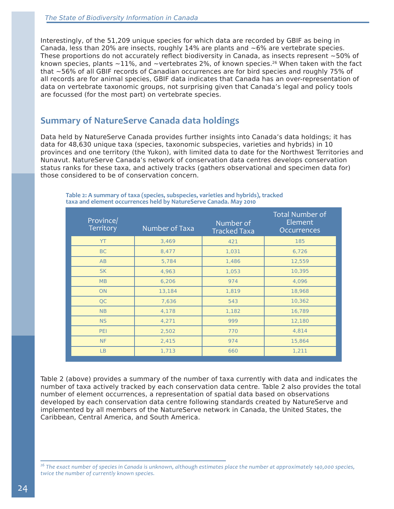Interestingly, of the 51,209 unique species for which data are recorded by GBIF as being in Canada, less than 20% are insects, roughly  $14%$  are plants and  $~6%$  are vertebrate species. These proportions do not accurately reflect biodiversity in Canada, as insects represent ~50% of known species, plants  $\sim$ 11%, and  $\sim$ vertebrates 2%, of known species.<sup>26</sup> When taken with the fact that ~56% of all GBIF records of Canadian occurrences are for bird species and roughly 75% of all records are for animal species, GBIF data indicates that Canada has an over-representation of data on vertebrate taxonomic groups, not surprising given that Canada's legal and policy tools are focussed (for the most part) on vertebrate species.

### **Summary of NatureServe Canada data holdings**

Data held by NatureServe Canada provides further insights into Canada's data holdings; it has data for 48,630 unique taxa (species, taxonomic subspecies, varieties and hybrids) in 10 provinces and one territory (the Yukon), with limited data to date for the Northwest Territories and Nunavut. NatureServe Canada's network of conservation data centres develops conservation status ranks for these taxa, and actively tracks (gathers observational and specimen data for) those considered to be of conservation concern.

| Province/<br>Territory | Number of Taxa | Number of<br><b>Tracked Taxa</b> | <b>Total Number of</b><br>Element<br>Occurrences |
|------------------------|----------------|----------------------------------|--------------------------------------------------|
| <b>YT</b>              | 3,469          | 421                              | 185                                              |
| <b>BC</b>              | 8,477          | 1,031                            | 6,726                                            |
| AB                     | 5,784          | 1,486                            | 12,559                                           |
| <b>SK</b>              | 4,963          | 1,053                            | 10,395                                           |
| MB                     | 6,206          | 974                              | 4,096                                            |
| ON                     | 13,184         | 1,819                            | 18,968                                           |
| QC                     | 7,636          | 543                              | 10,362                                           |
| <b>NB</b>              | 4,178          | 1,182                            | 16,789                                           |
| <b>NS</b>              | 4,271          | 999                              | 12,180                                           |
| PEI                    | 2,502          | 770                              | 4,814                                            |
| <b>NF</b>              | 2,415          | 974                              | 15,864                                           |
| LB                     | 1,713          | 660                              | 1,211                                            |

**Table 2: A summary of taxa (species, subspecies, varieties and hybrids), tracked taxa and element occurrences held by NatureServe Canada. May 2010** 

Table 2 (above) provides a summary of the number of taxa currently with data and indicates the number of taxa actively tracked by each conservation data centre. Table 2 also provides the total number of element occurrences, a representation of spatial data based on observations developed by each conservation data centre following standards created by NatureServe and implemented by all members of the NatureServe network in Canada, the United States, the Caribbean, Central America, and South America.

*26 The exact number of species in Canada is unknown, although estimates place the number at approximately 140,000 species, twice the number of currently known species.*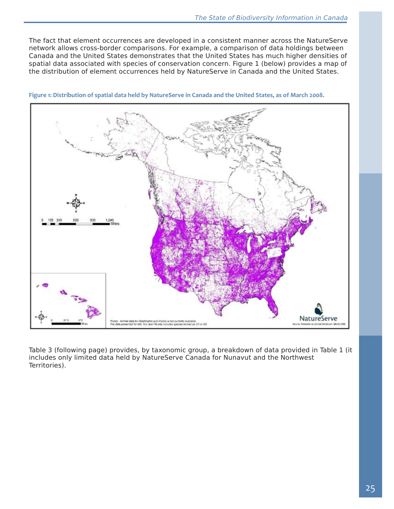The fact that element occurrences are developed in a consistent manner across the NatureServe network allows cross-border comparisons. For example, a comparison of data holdings between Canada and the United States demonstrates that the United States has much higher densities of spatial data associated with species of conservation concern. Figure 1 (below) provides a map of the distribution of element occurrences held by NatureServe in Canada and the United States.



**Figure 1: Distribution of spatial data held by NatureServe in Canada and the United States, as of March 2008.**

Table 3 (following page) provides, by taxonomic group, a breakdown of data provided in Table 1 (it includes only limited data held by NatureServe Canada for Nunavut and the Northwest Territories).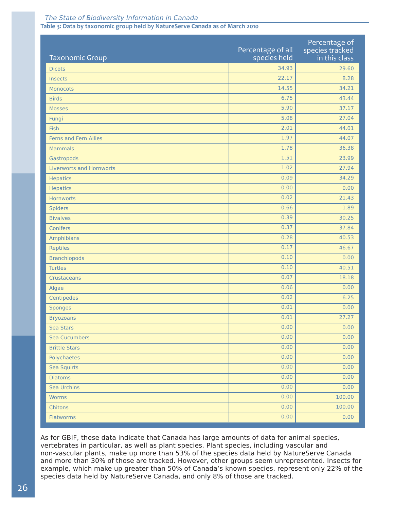#### The State of Biodiversity Information in Canada

#### **Table 3: Data by taxonomic group held by NatureServe Canada as of March 2010**

| <b>Taxonomic Group</b>          | Percentage of all<br>species held | Percentage of<br>species tracked<br>in this class |
|---------------------------------|-----------------------------------|---------------------------------------------------|
| <b>Dicots</b>                   | 34.93                             | 29.60                                             |
| Insects                         | 22.17                             | 8.28                                              |
| Monocots                        | 14.55                             | 34.21                                             |
| <b>Birds</b>                    | 6.75                              | 43.44                                             |
| <b>Mosses</b>                   | 5.90                              | 37.17                                             |
| Fungi                           | 5.08                              | 27.04                                             |
| Fish                            | 2.01                              | 44.01                                             |
| Ferns and Fern Allies           | 1.97                              | 44.07                                             |
| <b>Mammals</b>                  | 1.78                              | 36.38                                             |
| Gastropods                      | 1.51                              | 23.99                                             |
| <b>Liverworts and Hornworts</b> | 1.02                              | 27.94                                             |
| <b>Hepatics</b>                 | 0.09                              | 34.29                                             |
| <b>Hepatics</b>                 | 0.00                              | 0.00                                              |
| <b>Hornworts</b>                | 0.02                              | 21.43                                             |
| <b>Spiders</b>                  | 0.66                              | 1.89                                              |
| <b>Bivalves</b>                 | 0.39                              | 30.25                                             |
| Conifers                        | 0.37                              | 37.84                                             |
| Amphibians                      | 0.28                              | 40.53                                             |
| Reptiles                        | 0.17                              | 46.67                                             |
| <b>Branchiopods</b>             | 0.10                              | 0.00                                              |
| <b>Turtles</b>                  | 0.10                              | 40.51                                             |
| Crustaceans                     | 0.07                              | 18.18                                             |
| Algae                           | 0.06                              | 0.00                                              |
| Centipedes                      | 0.02                              | 6.25                                              |
| <b>Sponges</b>                  | 0.01                              | 0.00                                              |
| <b>Bryozoans</b>                | 0.01                              | 27.27                                             |
| Sea Stars                       | 0.00                              | 0.00                                              |
| <b>Sea Cucumbers</b>            | 0.00                              | 0.00                                              |
| <b>Brittle Stars</b>            | 0.00                              | 0.00                                              |
| Polychaetes                     | 0.00                              | 0.00                                              |
| Sea Squirts                     | 0.00                              | 0.00                                              |
| <b>Diatoms</b>                  | 0.00                              | 0.00                                              |
| Sea Urchins                     | 0.00                              | 0.00                                              |
| <b>Worms</b>                    | 0.00                              | 100.00                                            |
| Chitons                         | 0.00                              | 100.00                                            |
| Flatworms                       | 0.00                              | 0.00                                              |

As for GBIF, these data indicate that Canada has large amounts of data for animal species, vertebrates in particular, as well as plant species. Plant species, including vascular and non-vascular plants, make up more than 53% of the species data held by NatureServe Canada and more than 30% of those are tracked. However, other groups seem unrepresented. Insects for example, which make up greater than 50% of Canada's known species, represent only 22% of the species data held by NatureServe Canada, and only 8% of those are tracked.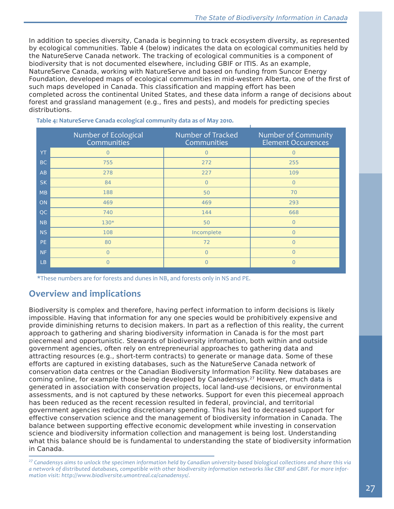In addition to species diversity, Canada is beginning to track ecosystem diversity, as represented by ecological communities. Table 4 (below) indicates the data on ecological communities held by the NatureServe Canada network. The tracking of ecological communities is a component of biodiversity that is not documented elsewhere, including GBIF or ITIS. As an example, NatureServe Canada, working with NatureServe and based on funding from Suncor Energy Foundation, developed maps of ecological communities in mid-western Alberta, one of the first of such maps developed in Canada. This classification and mapping effort has been completed across the continental United States, and these data inform a range of decisions about forest and grassland management (e.g., fires and pests), and models for predicting species distributions.

|           | Number of Ecological<br>Communities | Number of Tracked<br>Communities | Number of Community<br><b>Element Occurences</b> |
|-----------|-------------------------------------|----------------------------------|--------------------------------------------------|
| YT.       |                                     | $\overline{0}$                   | $\Omega$                                         |
| BC        | 755                                 | 272                              | 255                                              |
| AB        | 278                                 | 227                              | 109                                              |
| <b>SK</b> | 84                                  | $\overline{0}$                   | $\Omega$                                         |
| MB        | 188                                 | 50                               | 70                                               |
| ON        | 469                                 | 469                              | 293                                              |
| QC        | 740                                 | 144                              | 668                                              |
| <b>NB</b> | 130*                                | 50                               | $\Omega$                                         |
| <b>NS</b> | 108                                 | Incomplete                       | $\Omega$                                         |
| PE.       | 80                                  | 72                               | 0                                                |
| <b>NF</b> | $\Omega$                            | $\overline{0}$                   | $\Omega$                                         |
| <b>LB</b> | $\Omega$                            | $\overline{0}$                   | $\Omega$                                         |

**Table 4: NatureServe Canada ecological community data as of May 2010.**

\*These numbers are for forests and dunes in NB, and forests only in NS and PE.

### **Overview and implications**

Biodiversity is complex and therefore, having perfect information to inform decisions is likely impossible. Having that information for any one species would be prohibitively expensive and provide diminishing returns to decision makers. In part as a reflection of this reality, the current approach to gathering and sharing biodiversity information in Canada is for the most part piecemeal and opportunistic. Stewards of biodiversity information, both within and outside government agencies, often rely on entrepreneurial approaches to gathering data and attracting resources (e.g., short-term contracts) to generate or manage data. Some of these efforts are captured in existing databases, such as the NatureServe Canada network of conservation data centres or the Canadian Biodiversity Information Facility. New databases are coming online, for example those being developed by Canadensys.<sup>27</sup> However, much data is generated in association with conservation projects, local land-use decisions, or environmental assessments, and is not captured by these networks. Support for even this piecemeal approach has been reduced as the recent recession resulted in federal, provincial, and territorial government agencies reducing discretionary spending. This has led to decreased support for effective conservation science and the management of biodiversity information in Canada. The balance between supporting effective economic development while investing in conservation science and biodiversity information collection and management is being lost. Understanding what this balance should be is fundamental to understanding the state of biodiversity information in Canada.

*<sup>27</sup> Canadensys aims to unlock the specimen information held by Canadian university-based biological collections and share this via a network of distributed databases, compatible with other biodiversity information networks like CBIF and GBIF. For more information visit: http://www.biodiversite.umontreal.ca/canadensys/.*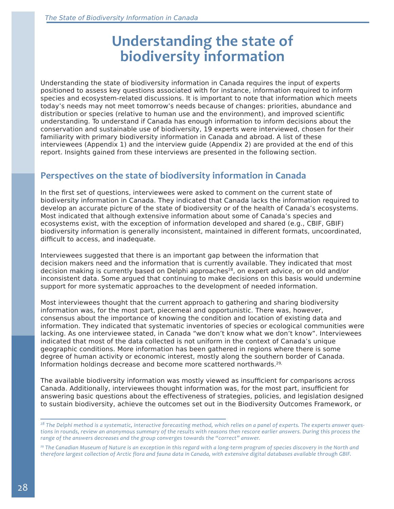# **Understanding the state of biodiversity information**

Understanding the state of biodiversity information in Canada requires the input of experts positioned to assess key questions associated with for instance, information required to inform species and ecosystem-related discussions. It is important to note that information which meets today's needs may not meet tomorrow's needs because of changes: priorities, abundance and distribution or species (relative to human use and the environment), and improved scientific understanding. To understand if Canada has enough information to inform decisions about the conservation and sustainable use of biodiversity, 19 experts were interviewed, chosen for their familiarity with primary biodiversity information in Canada and abroad. A list of these interviewees (Appendix 1) and the interview guide (Appendix 2) are provided at the end of this report. Insights gained from these interviews are presented in the following section.

### **Perspectives on the state of biodiversity information in Canada**

In the first set of questions, interviewees were asked to comment on the current state of biodiversity information in Canada. They indicated that Canada lacks the information required to develop an accurate picture of the state of biodiversity or of the health of Canada's ecosystems. Most indicated that although extensive information about some of Canada's species and ecosystems exist, with the exception of information developed and shared (e.g., CBIF, GBIF) biodiversity information is generally inconsistent, maintained in different formats, uncoordinated, difficult to access, and inadequate.

Interviewees suggested that there is an important gap between the information that decision makers need and the information that is currently available. They indicated that most decision making is currently based on Delphi approaches<sup>28</sup>, on expert advice, or on old and/or inconsistent data. Some argued that continuing to make decisions on this basis would undermine support for more systematic approaches to the development of needed information.

Most interviewees thought that the current approach to gathering and sharing biodiversity information was, for the most part, piecemeal and opportunistic. There was, however, consensus about the importance of knowing the condition and location of existing data and information. They indicated that systematic inventories of species or ecological communities were lacking. As one interviewee stated, in Canada "we don't know what we don't know". Interviewees indicated that most of the data collected is not uniform in the context of Canada's unique geographic conditions. More information has been gathered in regions where there is some degree of human activity or economic interest, mostly along the southern border of Canada. Information holdings decrease and become more scattered northwards.29,

The available biodiversity information was mostly viewed as insufficient for comparisons across Canada. Additionally, interviewees thought information was, for the most part, insufficient for answering basic questions about the effectiveness of strategies, policies, and legislation designed to sustain biodiversity, achieve the outcomes set out in the Biodiversity Outcomes Framework, or

*<sup>28</sup> The Delphi method is a systematic, interactive forecasting method, which relies on a panel of experts. The experts answer questions in rounds, review an anonymous summary of the results with reasons then rescore earlier answers. During this process the range of the answers decreases and the group converges towards the "correct" answer.* 

<sup>&</sup>lt;sup>29</sup> The Canadian Museum of Nature is an exception in this regard with a long-term program of species discovery in the North and *therefore largest collection of Arctic flora and fauna data in Canada, with extensive digital databases available through GBIF.*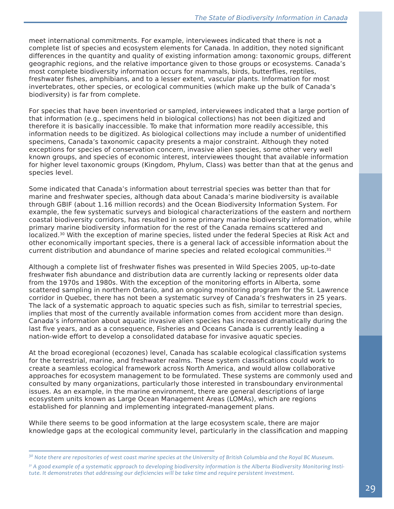meet international commitments. For example, interviewees indicated that there is not a complete list of species and ecosystem elements for Canada. In addition, they noted significant differences in the quantity and quality of existing information among: taxonomic groups, different geographic regions, and the relative importance given to those groups or ecosystems. Canada's most complete biodiversity information occurs for mammals, birds, butterflies, reptiles, freshwater fishes, amphibians, and to a lesser extent, vascular plants. Information for most invertebrates, other species, or ecological communities (which make up the bulk of Canada's biodiversity) is far from complete.

For species that have been inventoried or sampled, interviewees indicated that a large portion of that information (e.g., specimens held in biological collections) has not been digitized and therefore it is basically inaccessible. To make that information more readily accessible, this information needs to be digitized. As biological collections may include a number of unidentified specimens, Canada's taxonomic capacity presents a major constraint. Although they noted exceptions for species of conservation concern, invasive alien species, some other very well known groups, and species of economic interest, interviewees thought that available information for higher level taxonomic groups (Kingdom, Phylum, Class) was better than that at the genus and species level.

Some indicated that Canada's information about terrestrial species was better than that for marine and freshwater species, although data about Canada's marine biodiversity is available through GBIF (about 1.16 million records) and the Ocean Biodiversity Information System. For example, the few systematic surveys and biological characterizations of the eastern and northern coastal biodiversity corridors, has resulted in some primary marine biodiversity information, while primary marine biodiversity information for the rest of the Canada remains scattered and localized.<sup>30</sup> With the exception of marine species, listed under the federal Species at Risk Act and other economically important species, there is a general lack of accessible information about the current distribution and abundance of marine species and related ecological communities. $31$ 

Although a complete list of freshwater fishes was presented in Wild Species 2005, up-to-date freshwater fish abundance and distribution data are currently lacking or represents older data from the 1970s and 1980s. With the exception of the monitoring efforts in Alberta, some scattered sampling in northern Ontario, and an ongoing monitoring program for the St. Lawrence corridor in Quebec, there has not been a systematic survey of Canada's freshwaters in 25 years. The lack of a systematic approach to aquatic species such as fish, similar to terrestrial species, implies that most of the currently available information comes from accident more than design. Canada's information about aquatic invasive alien species has increased dramatically during the last five years, and as a consequence, Fisheries and Oceans Canada is currently leading a nation-wide effort to develop a consolidated database for invasive aquatic species.

At the broad ecoregional (ecozones) level, Canada has scalable ecological classification systems for the terrestrial, marine, and freshwater realms. These system classifications could work to create a seamless ecological framework across North America, and would allow collaborative approaches for ecosystem management to be formulated. These systems are commonly used and consulted by many organizations, particularly those interested in transboundary environmental issues. As an example, in the marine environment, there are general descriptions of large ecosystem units known as Large Ocean Management Areas (LOMAs), which are regions established for planning and implementing integrated-management plans.

While there seems to be good information at the large ecosystem scale, there are major knowledge gaps at the ecological community level, particularly in the classification and mapping

*<sup>30</sup> Note there are repositories of west coast marine species at the University of British Columbia and the Royal BC Museum.*

*<sup>31</sup> A good example of a systematic approach to developing biodiversity information is the Alberta Biodiversity Monitoring Institute. It demonstrates that addressing our deficiencies will be take time and require persistent investment.*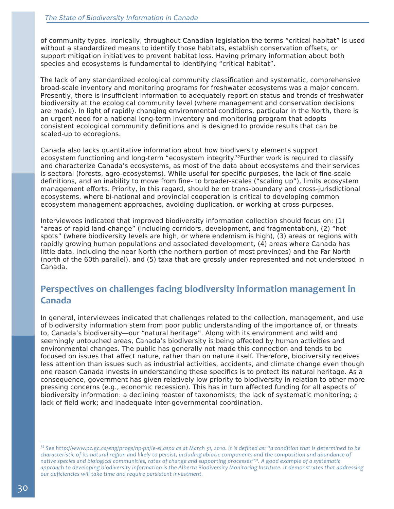of community types. Ironically, throughout Canadian legislation the terms "critical habitat" is used without a standardized means to identify those habitats, establish conservation offsets, or support mitigation initiatives to prevent habitat loss. Having primary information about both species and ecosystems is fundamental to identifying "critical habitat".

The lack of any standardized ecological community classification and systematic, comprehensive broad-scale inventory and monitoring programs for freshwater ecosystems was a major concern. Presently, there is insufficient information to adequately report on status and trends of freshwater biodiversity at the ecological community level (where management and conservation decisions are made). In light of rapidly changing environmental conditions, particular in the North, there is an urgent need for a national long-term inventory and monitoring program that adopts consistent ecological community definitions and is designed to provide results that can be scaled-up to ecoregions.

Canada also lacks quantitative information about how biodiversity elements support ecosystem functioning and long-term "ecosystem integrity.<sup>32</sup>Further work is required to classify and characterize Canada's ecosystems, as most of the data about ecosystems and their services is sectoral (forests, agro-ecosystems). While useful for specific purposes, the lack of fine-scale definitions, and an inability to move from fine- to broader-scales ("scaling up"), limits ecosystem management efforts. Priority, in this regard, should be on trans-boundary and cross-jurisdictional ecosystems, where bi-national and provincial cooperation is critical to developing common ecosystem management approaches, avoiding duplication, or working at cross-purposes.

Interviewees indicated that improved biodiversity information collection should focus on: (1) "areas of rapid land-change" (including corridors, development, and fragmentation), (2) "hot spots" (where biodiversity levels are high, or where endemism is high), (3) areas or regions with rapidly growing human populations and associated development, (4) areas where Canada has little data, including the near North (the northern portion of most provinces) and the Far North (north of the 60th parallel), and (5) taxa that are grossly under represented and not understood in Canada.

### **Perspectives on challenges facing biodiversity information management in Canada**

In general, interviewees indicated that challenges related to the collection, management, and use of biodiversity information stem from poor public understanding of the importance of, or threats to, Canada's biodiversity—our "natural heritage". Along with its environment and wild and seemingly untouched areas, Canada's biodiversity is being affected by human activities and environmental changes. The public has generally not made this connection and tends to be focused on issues that affect nature, rather than on nature itself. Therefore, biodiversity receives less attention than issues such as industrial activities, accidents, and climate change even though one reason Canada invests in understanding these specifics is to protect its natural heritage. As a consequence, government has given relatively low priority to biodiversity in relation to other more pressing concerns (e.g., economic recession). This has in turn affected funding for all aspects of biodiversity information: a declining roaster of taxonomists; the lack of systematic monitoring; a lack of field work; and inadequate inter-governmental coordination.

*<sup>32</sup> See http://www.pc.gc.ca/eng/progs/np-pn/ie-ei.aspx as at March 31, 2010. It is defined as: "a condition that is determined to be characteristic of its natural region and likely to persist, including abiotic components and the composition and abundance of native species and biological communities, rates of change and supporting processes"32. A good example of a systematic approach to developing biodiversity information is the Alberta Biodiversity Monitoring Institute. It demonstrates that addressing our deficiencies will take time and require persistent investment.*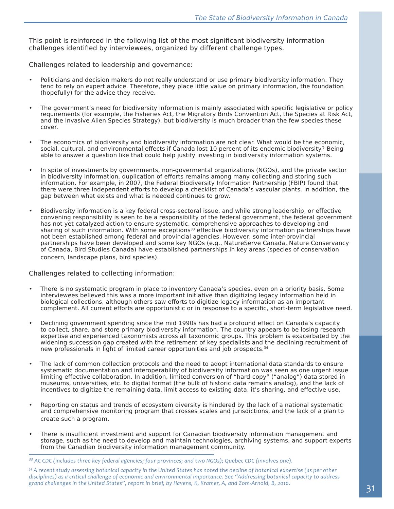This point is reinforced in the following list of the most significant biodiversity information challenges identified by interviewees, organized by different challenge types.

Challenges related to leadership and governance:

- Politicians and decision makers do not really understand or use primary biodiversity information. They tend to rely on expert advice. Therefore, they place little value on primary information, the foundation (hopefully) for the advice they receive.
- The government's need for biodiversity information is mainly associated with specific legislative or policy requirements (for example, the Fisheries Act, the Migratory Birds Convention Act, the Species at Risk Act, and the Invasive Alien Species Strategy), but biodiversity is much broader than the few species these cover.
- The economics of biodiversity and biodiversity information are not clear. What would be the economic, social, cultural, and environmental effects if Canada lost 10 percent of its endemic biodiversity? Being able to answer a question like that could help justify investing in biodiversity information systems.
- In spite of investments by governments, non-govermental organizations (NGOs), and the private sector in biodiversity information, duplication of efforts remains among many collecting and storing such information. For example, in 2007, the Federal Biodiversity Information Partnership (FBIP) found that there were three independent efforts to develop a checklist of Canada's vascular plants. In addition, the gap between what exists and what is needed continues to grow.
- Biodiversity information is a key federal cross-sectoral issue, and while strong leadership, or effective convening responsibility is seen to be a responsibility of the federal government, the federal government has not yet catalyzed action to ensure systematic, comprehensive approaches to developing and sharing of such information. With some exceptions<sup>33</sup> effective biodiversity information partnerships have not been established among federal and provincial agencies. However, some inter-provincial partnerships have been developed and some key NGOs (e.g., NatureServe Canada, Nature Conservancy of Canada, Bird Studies Canada) have established partnerships in key areas (species of conservation concern, landscape plans, bird species).

#### Challenges related to collecting information:

- There is no systematic program in place to inventory Canada's species, even on a priority basis. Some interviewees believed this was a more important initiative than digitizing legacy information held in biological collections, although others saw efforts to digitize legacy information as an important complement. All current efforts are opportunistic or in response to a specific, short-term legislative need.
- Declining government spending since the mid 1990s has had a profound effect on Canada's capacity to collect, share, and store primary biodiversity information. The country appears to be losing research expertise and experienced taxonomists across all taxonomic groups. This problem is exacerbated by the widening succession gap created with the retirement of key specialists and the declining recruitment of new professionals in light of limited career opportunities and job prospects.34
- The lack of common collection protocols and the need to adopt international data standards to ensure systematic documentation and interoperability of biodiversity information was seen as one urgent issue limiting effective collaboration. In addition, limited conversion of "hard-copy" ("analog") data stored in museums, universities, etc. to digital format (the bulk of historic data remains analog), and the lack of incentives to digitize the remaining data, limit access to existing data, it's sharing, and effective use.
- Reporting on status and trends of ecosystem diversity is hindered by the lack of a national systematic and comprehensive monitoring program that crosses scales and jurisdictions, and the lack of a plan to create such a program.
- There is insufficient investment and support for Canadian biodiversity information management and storage, such as the need to develop and maintain technologies, archiving systems, and support experts from the Canadian biodiversity information management community.

*<sup>33</sup> AC CDC (includes three key federal agencies; four provinces; and two NGOs); Quebec CDC (involves one).*

*<sup>34</sup> A recent study assessing botanical capacity in the United States has noted the decline of botanical expertise (as per other disciplines) as a critical challenge of economic and environmental importance. See "Addressing botanical capacity to address grand challenges in the United States", report in brief, by Havens, K, Kramer, A, and Zom-Arnold, B, 2010.*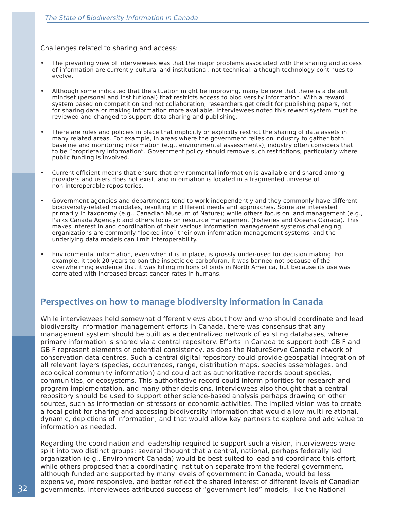Challenges related to sharing and access:

- The prevailing view of interviewees was that the major problems associated with the sharing and access of information are currently cultural and institutional, not technical, although technology continues to evolve.
- Although some indicated that the situation might be improving, many believe that there is a default mindset (personal and institutional) that restricts access to biodiversity information. With a reward system based on competition and not collaboration, researchers get credit for publishing papers, not for sharing data or making information more available. Interviewees noted this reward system must be reviewed and changed to support data sharing and publishing.
- There are rules and policies in place that implicitly or explicitly restrict the sharing of data assets in many related areas. For example, in areas where the government relies on industry to gather both baseline and monitoring information (e.g., environmental assessments), industry often considers that to be "proprietary information". Government policy should remove such restrictions, particularly where public funding is involved.
- Current efficient means that ensure that environmental information is available and shared among providers and users does not exist, and information is located in a fragmented universe of non-interoperable repositories.
- Government agencies and departments tend to work independently and they commonly have different biodiversity-related mandates, resulting in different needs and approaches. Some are interested primarily in taxonomy (e.g., Canadian Museum of Nature); while others focus on land management (e.g., Parks Canada Agency); and others focus on resource management (Fisheries and Oceans Canada). This makes interest in and coordination of their various information management systems challenging; organizations are commonly "locked into" their own information management systems, and the underlying data models can limit interoperability.
- Environmental information, even when it is in place, is grossly under-used for decision making. For example, it took 20 years to ban the insecticide carbofuran. It was banned not because of the overwhelming evidence that it was killing millions of birds in North America, but because its use was correlated with increased breast cancer rates in humans.

### **Perspectives on how to manage biodiversity information in Canada**

While interviewees held somewhat different views about how and who should coordinate and lead biodiversity information management efforts in Canada, there was consensus that any management system should be built as a decentralized network of existing databases, where primary information is shared via a central repository. Efforts in Canada to support both CBIF and GBIF represent elements of potential consistency, as does the NatureServe Canada network of conservation data centres. Such a central digital repository could provide geospatial integration of all relevant layers (species, occurrences, range, distribution maps, species assemblages, and ecological community information) and could act as authoritative records about species, communities, or ecosystems. This authoritative record could inform priorities for research and program implementation, and many other decisions. Interviewees also thought that a central repository should be used to support other science-based analysis perhaps drawing on other sources, such as information on stressors or economic activities. The implied vision was to create a focal point for sharing and accessing biodiversity information that would allow multi-relational, dynamic, depictions of information, and that would allow key partners to explore and add value to information as needed.

Regarding the coordination and leadership required to support such a vision, interviewees were split into two distinct groups: several thought that a central, national, perhaps federally led organization (e.g., Environment Canada) would be best suited to lead and coordinate this effort, while others proposed that a coordinating institution separate from the federal government, although funded and supported by many levels of government in Canada, would be less expensive, more responsive, and better reflect the shared interest of different levels of Canadian governments. Interviewees attributed success of "government-led" models, like the National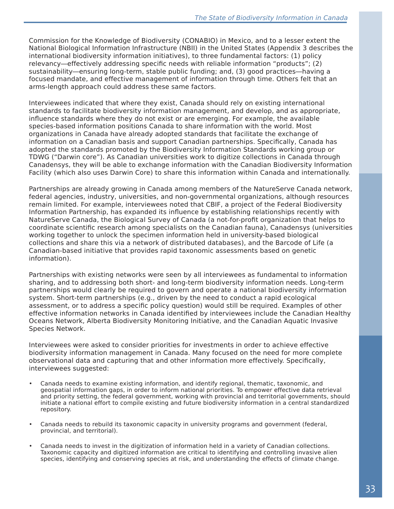Commission for the Knowledge of Biodiversity (CONABIO) in Mexico, and to a lesser extent the National Biological Information Infrastructure (NBII) in the United States (Appendix 3 describes the international biodiversity information initiatives), to three fundamental factors: (1) policy relevancy—effectively addressing specific needs with reliable information "products"; (2) sustainability—ensuring long-term, stable public funding; and, (3) good practices—having a focused mandate, and effective management of information through time. Others felt that an arms-length approach could address these same factors.

Interviewees indicated that where they exist, Canada should rely on existing international standards to facilitate biodiversity information management, and develop, and as appropriate, influence standards where they do not exist or are emerging. For example, the available species-based information positions Canada to share information with the world. Most organizations in Canada have already adopted standards that facilitate the exchange of information on a Canadian basis and support Canadian partnerships. Specifically, Canada has adopted the standards promoted by the Biodiversity Information Standards working group or TDWG ("Darwin core"). As Canadian universities work to digitize collections in Canada through Canadensys, they will be able to exchange information with the Canadian Biodiversity Information Facility (which also uses Darwin Core) to share this information within Canada and internationally.

Partnerships are already growing in Canada among members of the NatureServe Canada network, federal agencies, industry, universities, and non-governmental organizations, although resources remain limited. For example, interviewees noted that CBIF, a project of the Federal Biodiversity Information Partnership, has expanded its influence by establishing relationships recently with NatureServe Canada, the Biological Survey of Canada (a not-for-profit organization that helps to coordinate scientific research among specialists on the Canadian fauna), Canadensys (universities working together to unlock the specimen information held in university-based biological collections and share this via a network of distributed databases), and the Barcode of Life (a Canadian-based initiative that provides rapid taxonomic assessments based on genetic information).

Partnerships with existing networks were seen by all interviewees as fundamental to information sharing, and to addressing both short- and long-term biodiversity information needs. Long-term partnerships would clearly be required to govern and operate a national biodiversity information system. Short-term partnerships (e.g., driven by the need to conduct a rapid ecological assessment, or to address a specific policy question) would still be required. Examples of other effective information networks in Canada identified by interviewees include the Canadian Healthy Oceans Network, Alberta Biodiversity Monitoring Initiative, and the Canadian Aquatic Invasive Species Network.

Interviewees were asked to consider priorities for investments in order to achieve effective biodiversity information management in Canada. Many focused on the need for more complete observational data and capturing that and other information more effectively. Specifically, interviewees suggested:

- Canada needs to examine existing information, and identify regional, thematic, taxonomic, and geospatial information gaps, in order to inform national priorities. To empower effective data retrieval and priority setting, the federal government, working with provincial and territorial governments, should initiate a national effort to compile existing and future biodiversity information in a central standardized repository.
- Canada needs to rebuild its taxonomic capacity in university programs and government (federal, provincial, and territorial).
- Canada needs to invest in the digitization of information held in a variety of Canadian collections. Taxonomic capacity and digitized information are critical to identifying and controlling invasive alien species, identifying and conserving species at risk, and understanding the effects of climate change.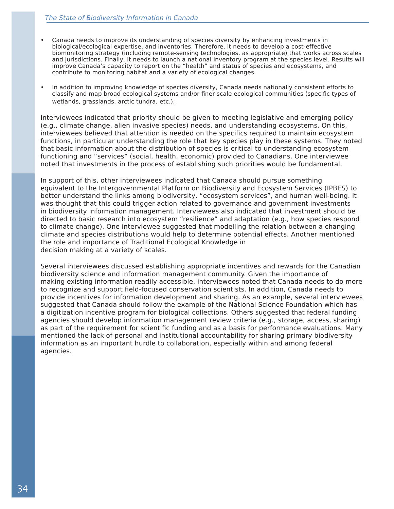- Canada needs to improve its understanding of species diversity by enhancing investments in biological/ecological expertise, and inventories. Therefore, it needs to develop a cost-effective biomonitoring strategy (including remote-sensing technologies, as appropriate) that works across scales and jurisdictions. Finally, it needs to launch a national inventory program at the species level. Results will improve Canada's capacity to report on the "health" and status of species and ecosystems, and contribute to monitoring habitat and a variety of ecological changes.
- In addition to improving knowledge of species diversity, Canada needs nationally consistent efforts to classify and map broad ecological systems and/or finer-scale ecological communities (specific types of wetlands, grasslands, arctic tundra, etc.).

Interviewees indicated that priority should be given to meeting legislative and emerging policy (e.g., climate change, alien invasive species) needs, and understanding ecosystems. On this, interviewees believed that attention is needed on the specifics required to maintain ecosystem functions, in particular understanding the role that key species play in these systems. They noted that basic information about the distribution of species is critical to understanding ecosystem functioning and "services" (social, health, economic) provided to Canadians. One interviewee noted that investments in the process of establishing such priorities would be fundamental.

In support of this, other interviewees indicated that Canada should pursue something equivalent to the Intergovernmental Platform on Biodiversity and Ecosystem Services (IPBES) to better understand the links among biodiversity, "ecosystem services", and human well-being. It was thought that this could trigger action related to governance and government investments in biodiversity information management. Interviewees also indicated that investment should be directed to basic research into ecosystem "resilience" and adaptation (e.g., how species respond to climate change). One interviewee suggested that modelling the relation between a changing climate and species distributions would help to determine potential effects. Another mentioned the role and importance of Traditional Ecological Knowledge in decision making at a variety of scales.

Several interviewees discussed establishing appropriate incentives and rewards for the Canadian biodiversity science and information management community. Given the importance of making existing information readily accessible, interviewees noted that Canada needs to do more to recognize and support field-focused conservation scientists. In addition, Canada needs to provide incentives for information development and sharing. As an example, several interviewees suggested that Canada should follow the example of the National Science Foundation which has a digitization incentive program for biological collections. Others suggested that federal funding agencies should develop information management review criteria (e.g., storage, access, sharing) as part of the requirement for scientific funding and as a basis for performance evaluations. Many mentioned the lack of personal and institutional accountability for sharing primary biodiversity information as an important hurdle to collaboration, especially within and among federal agencies.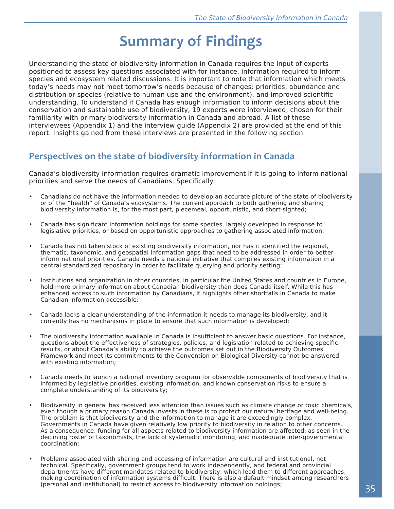# **Summary of Findings**

Understanding the state of biodiversity information in Canada requires the input of experts positioned to assess key questions associated with for instance, information required to inform species and ecosystem related discussions. It is important to note that information which meets today's needs may not meet tomorrow's needs because of changes: priorities, abundance and distribution or species (relative to human use and the environment), and improved scientific understanding. To understand if Canada has enough information to inform decisions about the conservation and sustainable use of biodiversity, 19 experts were interviewed, chosen for their familiarity with primary biodiversity information in Canada and abroad. A list of these interviewees (Appendix 1) and the interview guide (Appendix 2) are provided at the end of this report. Insights gained from these interviews are presented in the following section.

### **Perspectives on the state of biodiversity information in Canada**

Canada's biodiversity information requires dramatic improvement if it is going to inform national priorities and serve the needs of Canadians. Specifically:

- Canadians do not have the information needed to develop an accurate picture of the state of biodiversity or of the "health" of Canada's ecosystems. The current approach to both gathering and sharing biodiversity information is, for the most part, piecemeal, opportunistic, and short-sighted;
- Canada has significant information holdings for some species, largely developed in response to legislative priorities, or based on opportunistic approaches to gathering associated information;
- Canada has not taken stock of existing biodiversity information, nor has it identified the regional, thematic, taxonomic, and geospatial information gaps that need to be addressed in order to better inform national priorities. Canada needs a national initiative that compiles existing information in a central standardized repository in order to facilitate querying and priority setting;
- Institutions and organization in other countries, in particular the United States and countries in Europe, hold more primary information about Canadian biodiversity than does Canada itself. While this has enhanced access to such information by Canadians, it highlights other shortfalls in Canada to make Canadian information accessible;
- Canada lacks a clear understanding of the information it needs to manage its biodiversity, and it currently has no mechanisms in place to ensure that such information is developed;
- The biodiversity information available in Canada is insufficient to answer basic questions. For instance, questions about the effectiveness of strategies, policies, and legislation related to achieving specific results, or about Canada's ability to achieve the outcomes set out in the Biodiversity Outcomes Framework and meet its commitments to the Convention on Biological Diversity cannot be answered with existing information;
- Canada needs to launch a national inventory program for observable components of biodiversity that is informed by legislative priorities, existing information, and known conservation risks to ensure a complete understanding of its biodiversity;
- Biodiversity in general has received less attention than issues such as climate change or toxic chemicals, even though a primary reason Canada invests in these is to protect our natural heritage and well-being. The problem is that biodiversity and the information to manage it are exceedingly complex. Governments in Canada have given relatively low priority to biodiversity in relation to other concerns. As a consequence, funding for all aspects related to biodiversity information are affected, as seen in the declining roster of taxonomists, the lack of systematic monitoring, and inadequate inter-governmental coordination;
- Problems associated with sharing and accessing of information are cultural and institutional, not technical. Specifically, government groups tend to work independently, and federal and provincial departments have different mandates related to biodiversity, which lead them to different approaches, making coordination of information systems difficult. There is also a default mindset among researchers (personal and institutional) to restrict access to biodiversity information holdings;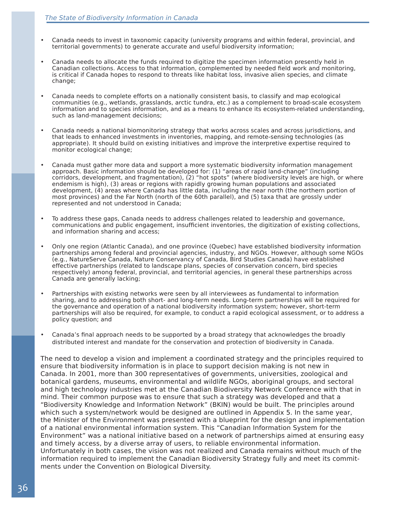- Canada needs to invest in taxonomic capacity (university programs and within federal, provincial, and territorial governments) to generate accurate and useful biodiversity information;
- Canada needs to allocate the funds required to digitize the specimen information presently held in Canadian collections. Access to that information, complemented by needed field work and monitoring, is critical if Canada hopes to respond to threats like habitat loss, invasive alien species, and climate change;
- Canada needs to complete efforts on a nationally consistent basis, to classify and map ecological communities (e.g., wetlands, grasslands, arctic tundra, etc.) as a complement to broad-scale ecosystem information and to species information, and as a means to enhance its ecosystem-related understanding, such as land-management decisions;
- Canada needs a national biomonitoring strategy that works across scales and across jurisdictions, and that leads to enhanced investments in inventories, mapping, and remote-sensing technologies (as appropriate). It should build on existing initiatives and improve the interpretive expertise required to monitor ecological change;
- Canada must gather more data and support a more systematic biodiversity information management approach. Basic information should be developed for: (1) "areas of rapid land-change" (including corridors, development, and fragmentation), (2) "hot spots" (where biodiversity levels are high, or where endemism is high), (3) areas or regions with rapidly growing human populations and associated development, (4) areas where Canada has little data, including the near north (the northern portion of most provinces) and the Far North (north of the 60th parallel), and (5) taxa that are grossly under represented and not understood in Canada;
- To address these gaps, Canada needs to address challenges related to leadership and governance, communications and public engagement, insufficient inventories, the digitization of existing collections, and information sharing and access;
- Only one region (Atlantic Canada), and one province (Quebec) have established biodiversity information partnerships among federal and provincial agencies, industry, and NGOs. However, although some NGOs (e.g., NatureServe Canada, Nature Conservancy of Canada, Bird Studies Canada) have established effective partnerships (related to landscape plans, species of conservation concern, bird species respectively) among federal, provincial, and territorial agencies, in general these partnerships across Canada are generally lacking;
- Partnerships with existing networks were seen by all interviewees as fundamental to information sharing, and to addressing both short- and long-term needs. Long-term partnerships will be required for the governance and operation of a national biodiversity information system; however, short-term partnerships will also be required, for example, to conduct a rapid ecological assessment, or to address a policy question; and
- Canada's final approach needs to be supported by a broad strategy that acknowledges the broadly distributed interest and mandate for the conservation and protection of biodiversity in Canada.

The need to develop a vision and implement a coordinated strategy and the principles required to ensure that biodiversity information is in place to support decision making is not new in Canada. In 2001, more than 300 representatives of governments, universities, zoological and botanical gardens, museums, environmental and wildlife NGOs, aboriginal groups, and sectoral and high technology industries met at the Canadian Biodiversity Network Conference with that in mind. Their common purpose was to ensure that such a strategy was developed and that a "Biodiversity Knowledge and Information Network" (BKIN) would be built. The principles around which such a system/network would be designed are outlined in Appendix 5. In the same year, the Minister of the Environment was presented with a blueprint for the design and implementation of a national environmental information system. This "Canadian Information System for the Environment" was a national initiative based on a network of partnerships aimed at ensuring easy and timely access, by a diverse array of users, to reliable environmental information. Unfortunately in both cases, the vision was not realized and Canada remains without much of the information required to implement the Canadian Biodiversity Strategy fully and meet its commitments under the Convention on Biological Diversity.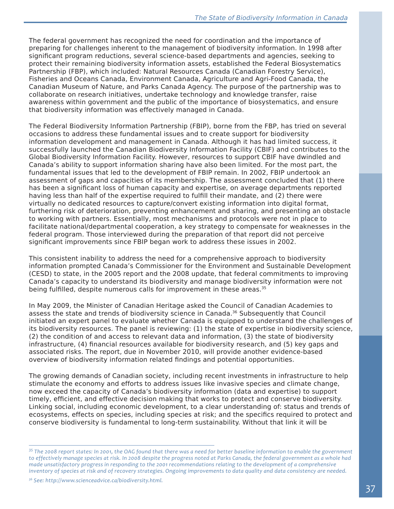The federal government has recognized the need for coordination and the importance of preparing for challenges inherent to the management of biodiversity information. In 1998 after significant program reductions, several science-based departments and agencies, seeking to protect their remaining biodiversity information assets, established the Federal Biosystematics Partnership (FBP), which included: Natural Resources Canada (Canadian Forestry Service), Fisheries and Oceans Canada, Environment Canada, Agriculture and Agri-Food Canada, the Canadian Museum of Nature, and Parks Canada Agency. The purpose of the partnership was to collaborate on research initiatives, undertake technology and knowledge transfer, raise awareness within government and the public of the importance of biosystematics, and ensure that biodiversity information was effectively managed in Canada.

The Federal Biodiversity Information Partnership (FBIP), borne from the FBP, has tried on several occasions to address these fundamental issues and to create support for biodiversity information development and management in Canada. Although it has had limited success, it successfully launched the Canadian Biodiversity Information Facility (CBIF) and contributes to the Global Biodiversity Information Facility. However, resources to support CBIF have dwindled and Canada's ability to support information sharing have also been limited. For the most part, the fundamental issues that led to the development of FBIP remain. In 2002, FBIP undertook an assessment of gaps and capacities of its membership. The assessment concluded that (1) there has been a significant loss of human capacity and expertise, on average departments reported having less than half of the expertise required to fulfill their mandate, and (2) there were virtually no dedicated resources to capture/convert existing information into digital format, furthering risk of deterioration, preventing enhancement and sharing, and presenting an obstacle to working with partners. Essentially, most mechanisms and protocols were not in place to facilitate national/departmental cooperation, a key strategy to compensate for weaknesses in the federal program. Those interviewed during the preparation of that report did not perceive significant improvements since FBIP began work to address these issues in 2002.

This consistent inability to address the need for a comprehensive approach to biodiversity information prompted Canada's Commissioner for the Environment and Sustainable Development (CESD) to state, in the 2005 report and the 2008 update, that federal commitments to improving Canada's capacity to understand its biodiversity and manage biodiversity information were not being fulfilled, despite numerous calls for improvement in these areas.<sup>35</sup>

In May 2009, the Minister of Canadian Heritage asked the Council of Canadian Academies to assess the state and trends of biodiversity science in Canada.36 Subsequently that Council initiated an expert panel to evaluate whether Canada is equipped to understand the challenges of its biodiversity resources. The panel is reviewing: (1) the state of expertise in biodiversity science, (2) the condition of and access to relevant data and information, (3) the state of biodiversity infrastructure, (4) financial resources available for biodiversity research, and (5) key gaps and associated risks. The report, due in November 2010, will provide another evidence-based overview of biodiversity information related findings and potential opportunities.

The growing demands of Canadian society, including recent investments in infrastructure to help stimulate the economy and efforts to address issues like invasive species and climate change, now exceed the capacity of Canada's biodiversity information (data and expertise) to support timely, efficient, and effective decision making that works to protect and conserve biodiversity. Linking social, including economic development, to a clear understanding of: status and trends of ecosystems, effects on species, including species at risk; and the specifics required to protect and conserve biodiversity is fundamental to long-term sustainability. Without that link it will be

*36 See: http://www.scienceadvice.ca/biodiversity.html.*

*<sup>35</sup> The 2008 report states: In 2001, the OAG found that there was a need for better baseline information to enable the government*  to effectively manage species at risk. In 2008 despite the progress noted at Parks Canada, the federal government as a whole had *made unsatisfactory progress in responding to the 2001 recommendations relating to the development of a comprehensive inventory of species at risk and of recovery strategies. Ongoing improvements to data quality and data consistency are needed.*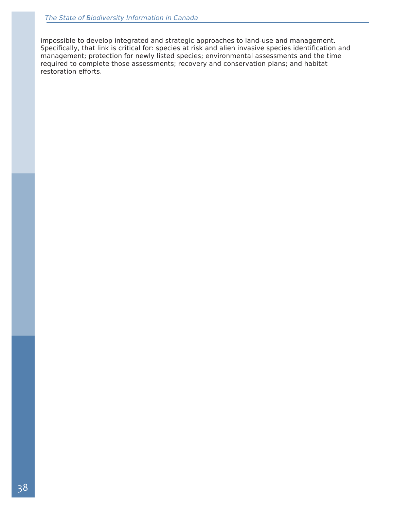impossible to develop integrated and strategic approaches to land-use and management. Specifically, that link is critical for: species at risk and alien invasive species identification and management; protection for newly listed species; environmental assessments and the time required to complete those assessments; recovery and conservation plans; and habitat restoration efforts.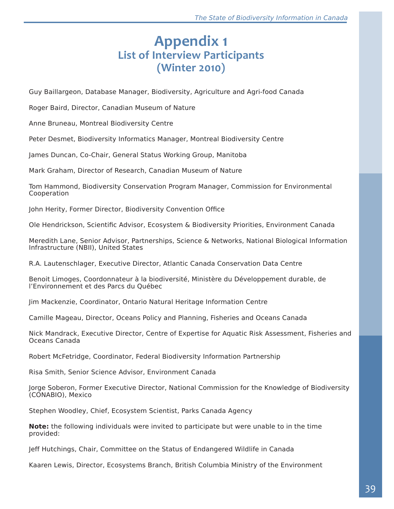## **Appendix 1 List of Interview Participants (Winter 2010)**

Guy Baillargeon, Database Manager, Biodiversity, Agriculture and Agri-food Canada

Roger Baird, Director, Canadian Museum of Nature

Anne Bruneau, Montreal Biodiversity Centre

Peter Desmet, Biodiversity Informatics Manager, Montreal Biodiversity Centre

James Duncan, Co-Chair, General Status Working Group, Manitoba

Mark Graham, Director of Research, Canadian Museum of Nature

Tom Hammond, Biodiversity Conservation Program Manager, Commission for Environmental Cooperation

John Herity, Former Director, Biodiversity Convention Office

Ole Hendrickson, Scientific Advisor, Ecosystem & Biodiversity Priorities, Environment Canada

Meredith Lane, Senior Advisor, Partnerships, Science & Networks, National Biological Information Infrastructure (NBII), United States

R.A. Lautenschlager, Executive Director, Atlantic Canada Conservation Data Centre

Benoit Limoges, Coordonnateur à la biodiversité, Ministère du Développement durable, de l'Environnement et des Parcs du Québec

Jim Mackenzie, Coordinator, Ontario Natural Heritage Information Centre

Camille Mageau, Director, Oceans Policy and Planning, Fisheries and Oceans Canada

Nick Mandrack, Executive Director, Centre of Expertise for Aquatic Risk Assessment, Fisheries and Oceans Canada

Robert McFetridge, Coordinator, Federal Biodiversity Information Partnership

Risa Smith, Senior Science Advisor, Environment Canada

Jorge Soberon, Former Executive Director, National Commission for the Knowledge of Biodiversity (CONABIO), Mexico

Stephen Woodley, Chief, Ecosystem Scientist, Parks Canada Agency

**Note:** the following individuals were invited to participate but were unable to in the time provided:

Jeff Hutchings, Chair, Committee on the Status of Endangered Wildlife in Canada

Kaaren Lewis, Director, Ecosystems Branch, British Columbia Ministry of the Environment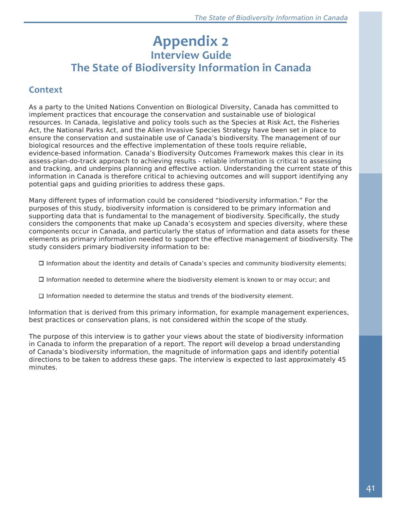## **Appendix 2 Interview Guide**

# **The State of Biodiversity Information in Canada**

### **Context**

As a party to the United Nations Convention on Biological Diversity, Canada has committed to implement practices that encourage the conservation and sustainable use of biological resources. In Canada, legislative and policy tools such as the Species at Risk Act, the Fisheries Act, the National Parks Act, and the Alien Invasive Species Strategy have been set in place to ensure the conservation and sustainable use of Canada's biodiversity. The management of our biological resources and the effective implementation of these tools require reliable, evidence-based information. Canada's Biodiversity Outcomes Framework makes this clear in its assess-plan-do-track approach to achieving results - reliable information is critical to assessing and tracking, and underpins planning and effective action. Understanding the current state of this information in Canada is therefore critical to achieving outcomes and will support identifying any potential gaps and guiding priorities to address these gaps.

Many different types of information could be considered "biodiversity information." For the purposes of this study, biodiversity information is considered to be primary information and supporting data that is fundamental to the management of biodiversity. Specifically, the study considers the components that make up Canada's ecosystem and species diversity, where these components occur in Canada, and particularly the status of information and data assets for these elements as primary information needed to support the effective management of biodiversity. The study considers primary biodiversity information to be:

 $\Box$  Information about the identity and details of Canada's species and community biodiversity elements;

- $\Box$  Information needed to determine where the biodiversity element is known to or may occur; and
- $\square$  Information needed to determine the status and trends of the biodiversity element.

Information that is derived from this primary information, for example management experiences, best practices or conservation plans, is not considered within the scope of the study.

The purpose of this interview is to gather your views about the state of biodiversity information in Canada to inform the preparation of a report. The report will develop a broad understanding of Canada's biodiversity information, the magnitude of information gaps and identify potential directions to be taken to address these gaps. The interview is expected to last approximately 45 minutes.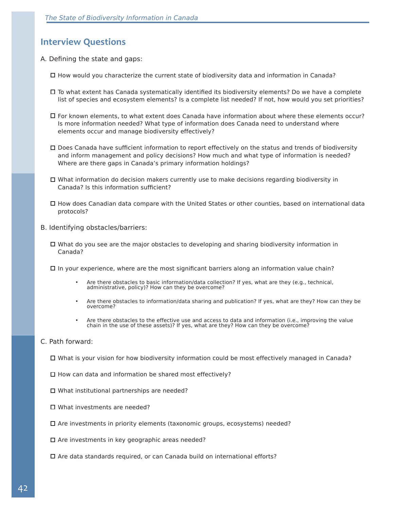### **Interview Questions**

- A. Defining the state and gaps:
	- $\Box$  How would you characterize the current state of biodiversity data and information in Canada?
	- To what extent has Canada systematically identified its biodiversity elements? Do we have a complete list of species and ecosystem elements? Is a complete list needed? If not, how would you set priorities?
	- For known elements, to what extent does Canada have information about where these elements occur? Is more information needed? What type of information does Canada need to understand where elements occur and manage biodiversity effectively?
	- Does Canada have sufficient information to report effectively on the status and trends of biodiversity and inform management and policy decisions? How much and what type of information is needed? Where are there gaps in Canada's primary information holdings?
	- $\Box$  What information do decision makers currently use to make decisions regarding biodiversity in Canada? Is this information sufficient?
	- How does Canadian data compare with the United States or other counties, based on international data protocols?
- B. Identifying obstacles/barriers:
	- $\Box$  What do you see are the major obstacles to developing and sharing biodiversity information in Canada?
	- $\Box$  In your experience, where are the most significant barriers along an information value chain?
		- Are there obstacles to basic information/data collection? If yes, what are they (e.g., technical, administrative, policy)? How can they be overcome?
		- Are there obstacles to information/data sharing and publication? If yes, what are they? How can they be overcome?
		- Are there obstacles to the effective use and access to data and information (i.e., improving the value chain in the use of these assets)? If yes, what are they? How can they be overcome?

#### C. Path forward:

- □ What is your vision for how biodiversity information could be most effectively managed in Canada?
- $\Box$  How can data and information be shared most effectively?
- $\Box$  What institutional partnerships are needed?
- □ What investments are needed?
- $\Box$  Are investments in priority elements (taxonomic groups, ecosystems) needed?
- $\square$  Are investments in key geographic areas needed?
- $\Box$  Are data standards required, or can Canada build on international efforts?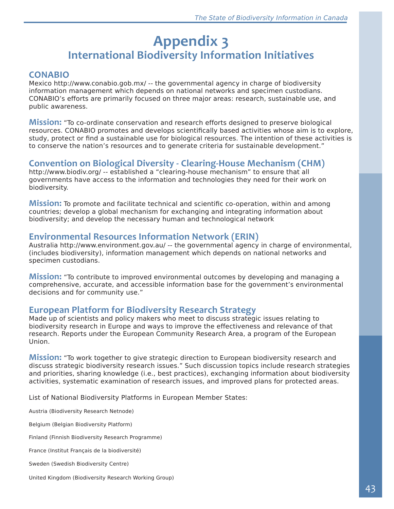# **Appendix 3 International Biodiversity Information Initiatives**

#### **CONABIO**

Mexico http://www.conabio.gob.mx/ -- the governmental agency in charge of biodiversity information management which depends on national networks and specimen custodians. CONABIO's efforts are primarily focused on three major areas: research, sustainable use, and public awareness.

**Mission:** "To co-ordinate conservation and research efforts designed to preserve biological resources. CONABIO promotes and develops scientifically based activities whose aim is to explore, study, protect or find a sustainable use for biological resources. The intention of these activities is to conserve the nation's resources and to generate criteria for sustainable development."

### **Convention on Biological Diversity - Clearing-House Mechanism (CHM)**

http://www.biodiv.org/ -- established a "clearing-house mechanism" to ensure that all governments have access to the information and technologies they need for their work on biodiversity.

**Mission:** To promote and facilitate technical and scientific co-operation, within and among countries; develop a global mechanism for exchanging and integrating information about biodiversity; and develop the necessary human and technological network

#### **Environmental Resources Information Network (ERIN)**

Australia http://www.environment.gov.au/ -- the governmental agency in charge of environmental, (includes biodiversity), information management which depends on national networks and specimen custodians.

**Mission:** "To contribute to improved environmental outcomes by developing and managing a comprehensive, accurate, and accessible information base for the government's environmental decisions and for community use."

### **European Platform for Biodiversity Research Strategy**

Made up of scientists and policy makers who meet to discuss strategic issues relating to biodiversity research in Europe and ways to improve the effectiveness and relevance of that research. Reports under the European Community Research Area, a program of the European Union.

**Mission:** "To work together to give strategic direction to European biodiversity research and discuss strategic biodiversity research issues." Such discussion topics include research strategies and priorities, sharing knowledge (i.e., best practices), exchanging information about biodiversity activities, systematic examination of research issues, and improved plans for protected areas.

List of National Biodiversity Platforms in European Member States:

Austria (Biodiversity Research Netnode)

Belgium (Belgian Biodiversity Platform)

Finland (Finnish Biodiversity Research Programme)

France (Institut Français de la biodiversité)

Sweden (Swedish Biodiversity Centre)

United Kingdom (Biodiversity Research Working Group)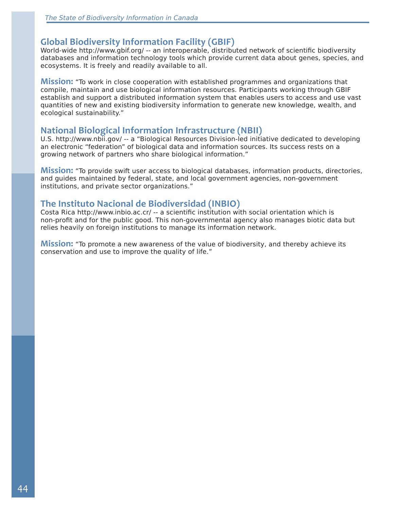#### **Global Biodiversity Information Facility (GBIF)**

World-wide http://www.gbif.org/ -- an interoperable, distributed network of scientific biodiversity databases and information technology tools which provide current data about genes, species, and ecosystems. It is freely and readily available to all.

**Mission:** "To work in close cooperation with established programmes and organizations that compile, maintain and use biological information resources. Participants working through GBIF establish and support a distributed information system that enables users to access and use vast quantities of new and existing biodiversity information to generate new knowledge, wealth, and ecological sustainability."

#### **National Biological Information Infrastructure (NBII)**

U.S. http://www.nbii.gov/ -- a "Biological Resources Division-led initiative dedicated to developing an electronic "federation" of biological data and information sources. Its success rests on a growing network of partners who share biological information."

**Mission:** "To provide swift user access to biological databases, information products, directories, and guides maintained by federal, state, and local government agencies, non-government institutions, and private sector organizations."

#### **The Instituto Nacional de Biodiversidad (INBIO)**

Costa Rica http://www.inbio.ac.cr/ -- a scientific institution with social orientation which is non-profit and for the public good. This non-governmental agency also manages biotic data but relies heavily on foreign institutions to manage its information network.

**Mission:** "To promote a new awareness of the value of biodiversity, and thereby achieve its conservation and use to improve the quality of life."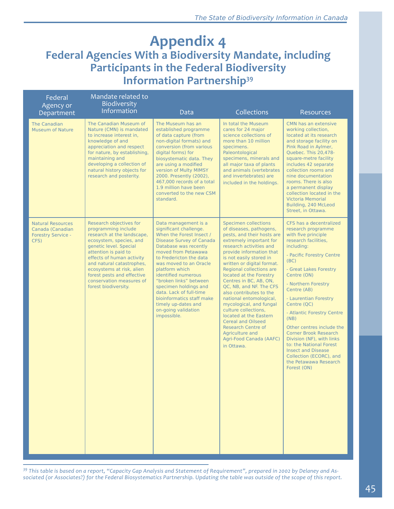## **Appendix 4 Federal Agencies With a Biodiversity Mandate, including Participants in the Federal Biodiversity Information Partnership39**

| Federal<br>Agency or<br>Department                                                | Mandate related to<br>Biodiversity<br>Information                                                                                                                                                                                                                                                                                  | Data                                                                                                                                                                                                                                                                                                                                                                                                                                | Collections                                                                                                                                                                                                                                                                                                                                                                                                                                                                                                                                                                                   | Resources                                                                                                                                                                                                                                                                                                                                                                                                                                                                                                                         |
|-----------------------------------------------------------------------------------|------------------------------------------------------------------------------------------------------------------------------------------------------------------------------------------------------------------------------------------------------------------------------------------------------------------------------------|-------------------------------------------------------------------------------------------------------------------------------------------------------------------------------------------------------------------------------------------------------------------------------------------------------------------------------------------------------------------------------------------------------------------------------------|-----------------------------------------------------------------------------------------------------------------------------------------------------------------------------------------------------------------------------------------------------------------------------------------------------------------------------------------------------------------------------------------------------------------------------------------------------------------------------------------------------------------------------------------------------------------------------------------------|-----------------------------------------------------------------------------------------------------------------------------------------------------------------------------------------------------------------------------------------------------------------------------------------------------------------------------------------------------------------------------------------------------------------------------------------------------------------------------------------------------------------------------------|
| The Canadian<br><b>Museum of Nature</b>                                           | The Canadian Museum of<br>Nature (CMN) is mandated<br>to increase interest in,<br>knowledge of and<br>appreciation and respect<br>for nature, by establishing,<br>maintaining and<br>developing a collection of<br>natural history objects for<br>research and posterity.                                                          | The Museum has an<br>established programme<br>of data capture (from<br>non-digital formats) and<br>conversion (from various<br>digital forms) for<br>biosystematic data. They<br>are using a modified<br>version of Multy MIMSY<br>2000. Presently (2002),<br>467,000 records of a total<br>1.9 million have been<br>converted to the new CSM<br>standard.                                                                          | In total the Museum<br>cares for 24 major<br>science collections of<br>more than 10 million<br>specimens.<br>Paleontological<br>specimens, minerals and<br>all major taxa of plants<br>and animals (vertebrates<br>and invertebrates) are<br>included in the holdings.                                                                                                                                                                                                                                                                                                                        | CMN has an extensive<br>working collection,<br>located at its research<br>and storage facility on<br>Pink Road in Aylmer,<br>Quebec. This 20,478-<br>square-metre facility<br>includes 42 separate<br>collection rooms and<br>nine documentation<br>rooms. There is also<br>a permanent display<br>collection located in the<br><b>Victoria Memorial</b><br>Building, 240 McLeod<br>Street, in Ottawa.                                                                                                                            |
| <b>Natural Resources</b><br>Canada (Canadian<br><b>Forestry Service -</b><br>CFS) | Research objectives for<br>programming include<br>research at the landscape,<br>ecosystem, species, and<br>genetic level. Special<br>attention is paid to<br>effects of human activity<br>and natural catastrophes,<br>ecosystems at risk, alien<br>forest pests and effective<br>conservation measures of<br>forest biodiversity. | Data management is a<br>significant challenge.<br>When the Forest Insect /<br><b>Disease Survey of Canada</b><br>Database was recently<br>moved from Petawawa<br>to Fredericton the data<br>was moved to an Oracle<br>platform which<br>identified numerous<br>"broken links" between<br>specimen holdings and<br>data. Lack of full-time<br>bioinformatics staff make<br>timely up-dates and<br>on-going validation<br>impossible. | Specimen collections<br>of diseases, pathogens,<br>pests, and their hosts are<br>extremely important for<br>research activities and<br>provide information that<br>is not easily stored in<br>written or digital format.<br>Regional collections are<br>located at the Forestry<br>Centres in BC, AB, ON,<br>QC, NB, and NF. The CFS<br>also contributes to the<br>national entomological,<br>mycological, and fungal<br>culture collections,<br>located at the Eastern<br><b>Cereal and Oilseed</b><br><b>Research Centre of</b><br>Agriculture and<br>Agri-Food Canada (AAFC)<br>in Ottawa. | CFS has a decentralized<br>research programme<br>with five principle<br>research facilities,<br>including:<br>- Pacific Forestry Centre<br>(BC)<br>- Great Lakes Forestry<br>Centre (ON)<br>- Northern Forestry<br>Centre (AB)<br>- Laurentian Forestry<br>Centre (QC)<br>- Atlantic Forestry Centre<br>(NB)<br>Other centres include the<br><b>Corner Brook Research</b><br>Division (NF), with links<br>to: the National Forest<br><b>Insect and Disease</b><br>Collection (ECORC), and<br>the Petawawa Research<br>Forest (ON) |

*39 This table is based on a report, "Capacity Gap Analysis and Statement of Requirement", prepared in 2002 by Delaney and Associated (or Associates?) for the Federal Biosystematics Partnership. Updating the table was outside of the scope of this report.*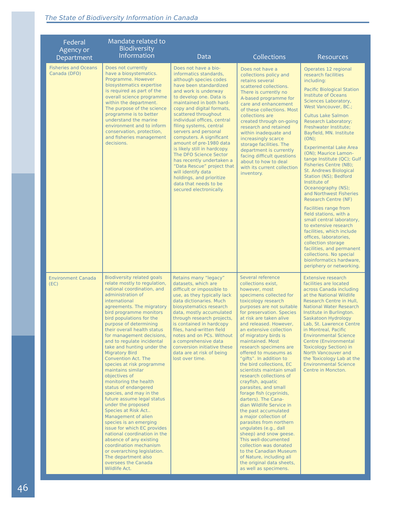| Federal<br>Agency or                        | Mandate related to<br>Biodiversity<br>Information                                                                                                                                                                                                                                                                                                                                                                                                                                                                                                                                                                                                                                                                                                                                                                                                                                                                        |                                                                                                                                                                                                                                                                                                                                                                                                                                                                                                                                                                                                            |                                                                                                                                                                                                                                                                                                                                                                                                                                                                                                                                                                                                                                                                                                                                                                                                                                                                                             |                                                                                                                                                                                                                                                                                                                                                                                                                                                                                                                                                                                                                                                                                                                                                                                                                                                                                        |
|---------------------------------------------|--------------------------------------------------------------------------------------------------------------------------------------------------------------------------------------------------------------------------------------------------------------------------------------------------------------------------------------------------------------------------------------------------------------------------------------------------------------------------------------------------------------------------------------------------------------------------------------------------------------------------------------------------------------------------------------------------------------------------------------------------------------------------------------------------------------------------------------------------------------------------------------------------------------------------|------------------------------------------------------------------------------------------------------------------------------------------------------------------------------------------------------------------------------------------------------------------------------------------------------------------------------------------------------------------------------------------------------------------------------------------------------------------------------------------------------------------------------------------------------------------------------------------------------------|---------------------------------------------------------------------------------------------------------------------------------------------------------------------------------------------------------------------------------------------------------------------------------------------------------------------------------------------------------------------------------------------------------------------------------------------------------------------------------------------------------------------------------------------------------------------------------------------------------------------------------------------------------------------------------------------------------------------------------------------------------------------------------------------------------------------------------------------------------------------------------------------|----------------------------------------------------------------------------------------------------------------------------------------------------------------------------------------------------------------------------------------------------------------------------------------------------------------------------------------------------------------------------------------------------------------------------------------------------------------------------------------------------------------------------------------------------------------------------------------------------------------------------------------------------------------------------------------------------------------------------------------------------------------------------------------------------------------------------------------------------------------------------------------|
| Department                                  |                                                                                                                                                                                                                                                                                                                                                                                                                                                                                                                                                                                                                                                                                                                                                                                                                                                                                                                          | Data                                                                                                                                                                                                                                                                                                                                                                                                                                                                                                                                                                                                       | Collections                                                                                                                                                                                                                                                                                                                                                                                                                                                                                                                                                                                                                                                                                                                                                                                                                                                                                 | <b>Resources</b>                                                                                                                                                                                                                                                                                                                                                                                                                                                                                                                                                                                                                                                                                                                                                                                                                                                                       |
| <b>Fisheries and Oceans</b><br>Canada (DFO) | Does not currently<br>have a biosystematics.<br>Programme, However<br>biosystematics expertise<br>is required as part of the<br>overall science programme<br>within the department.<br>The purpose of the science<br>programme is to better<br>understand the marine<br>environment and to inform<br>conservation, protection,<br>and fisheries management<br>decisions.                                                                                                                                                                                                                                                                                                                                                                                                                                                                                                                                                 | Does not have a bio-<br>informatics standards.<br>although species codes<br>have been standardized<br>and work is underway<br>to develop one. Data is<br>maintained in both hard-<br>copy and digital formats,<br>scattered throughout<br>individual offices, central<br>filing systems, central<br>servers and personal<br>computers. A significant<br>amount of pre-1980 data<br>is likely still in hardcopy.<br>The DFO Science Sector<br>has recently undertaken a<br>"Data Rescue" project that<br>will identify data<br>holdings, and prioritize<br>data that needs to be<br>secured electronically. | Does not have a<br>collections policy and<br>retains several<br>scattered collections.<br>There is currently no<br>A-based programme for<br>care and enhancement<br>of these collections. Most<br>collections are<br>created through on-going<br>research and retained<br>within inadequate and<br>increasingly scarce<br>storage facilities. The<br>department is currently<br>facing difficult questions<br>about to how to deal<br>with its current collection<br>inventory.                                                                                                                                                                                                                                                                                                                                                                                                             | Operates 12 regional<br>research facilities<br>including:<br><b>Pacific Biological Station</b><br><b>Institute of Oceans</b><br>Sciences Laboratory,<br>West Vancouver, BC.;<br><b>Cultus Lake Salmon</b><br><b>Research Laboratory;</b><br>Freshwater Institute;<br>Bayfield, MN. Institute<br>(ON):<br><b>Experimental Lake Area</b><br>(ON); Maurice Lamon-<br>tange Institute (QC); Gulf<br>Fisheries Centre (NB);<br><b>St. Andrews Biological</b><br>Station (NS); Bedford<br>Institute of<br>Oceanography (NS);<br>and Northwest Fisheries<br><b>Research Centre (NF)</b><br>Facilities range from<br>field stations, with a<br>small central laboratory,<br>to extensive research<br>facilities, which include<br>offices, laboratories,<br>collection storage<br>facilities, and permanent<br>collections. No special<br>bioinformatics hardware,<br>periphery or networking. |
| <b>Environment Canada</b><br>(EC)           | Biodiversity related goals<br>relate mostly to regulation,<br>national coordination, and<br>administration of<br>international<br>agreements. The migratory<br>bird programme monitors<br>bird populations for the<br>purpose of determining<br>their overall health status<br>for management decisions,<br>and to regulate incidental<br>take and hunting under the<br><b>Migratory Bird</b><br><b>Convention Act. The</b><br>species at risk programme<br>maintains similar<br>objectives of<br>monitoring the health<br>status of endangered<br>species, and may in the<br>future assume legal status<br>under the proposed<br>Species at Risk Act<br>Management of alien<br>species is an emerging<br>issue for which EC provides<br>national coordination in the<br>absence of any existing<br>coordination mechanism<br>or overarching legislation.<br>The department also<br>oversees the Canada<br>Wildlife Act. | Retains many "legacy"<br>datasets, which are<br>difficult or impossible to<br>use, as they typically lack<br>data dictionaries. Much<br>biosystematics research<br>data, mostly accumulated<br>through research projects,<br>is contained in hardcopy<br>files, hand-written field<br>notes and on PCs. Without<br>a comprehensive data<br>conversion initiative these<br>data are at risk of being<br>lost over time.                                                                                                                                                                                     | Several reference<br>collections exist,<br>however, most<br>specimens collected for<br>toxicology research<br>purposes are not suitable<br>for preservation. Species<br>at risk are taken alive<br>and released. However.<br>an extensive collection<br>of migratory birds is<br>maintained. Most<br>research specimens are<br>offered to museums as<br>"gifts". In addition to<br>the bird collections, EC<br>scientists maintain small<br>research collections of<br>crayfish, aquatic<br>parasites, and small<br>forage fish (cyprinids,<br>darters). The Cana-<br>dian Wildlife Service in<br>the past accumulated<br>a major collection of<br>parasites from northern<br>ungulates (e.g., dall<br>sheep) and snow geese.<br>This well-documented<br>collection was donated<br>to the Canadian Museum<br>of Nature, including all<br>the original data sheets,<br>as well as specimens. | <b>Extensive research</b><br>facilities are located<br>across Canada including<br>at the National Wildlife<br>Research Centre in Hull,<br><b>National Water Research</b><br>Institute in Burlington.<br>Saskatoon Hydrology<br>Lab. St. Lawrence Centre<br>in Montreal, Pacific<br><b>Environmental Science</b><br>Centre (Environmental<br><b>Toxicology Section) in</b><br>North Vancouver and<br>the Toxicology Lab at the<br><b>Environmental Science</b><br>Centre in Moncton.                                                                                                                                                                                                                                                                                                                                                                                                    |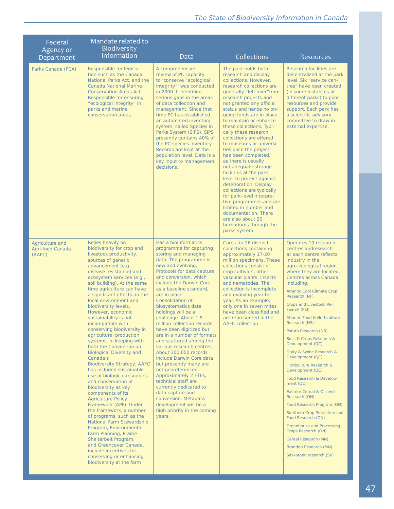| Federal<br>Agency or<br>Department            | Mandate related to<br>Biodiversity<br>Information                                                                                                                                                                                                                                                                                                                                                                                                                                                                                                                                                                                                                                                                                                                                                                                                                                                                                                                                                                                                                 | Data                                                                                                                                                                                                                                                                                                                                                                                                                                                                                                                                                                                                                                                                                                                                                                                               | Collections                                                                                                                                                                                                                                                                                                                                                                                                                                                                                                                                                                                                                                                                                                                                                       | <b>Resources</b>                                                                                                                                                                                                                                                                                                                                                                                                                                                                                                                                                                                                                                                                                                                                                                                                                       |
|-----------------------------------------------|-------------------------------------------------------------------------------------------------------------------------------------------------------------------------------------------------------------------------------------------------------------------------------------------------------------------------------------------------------------------------------------------------------------------------------------------------------------------------------------------------------------------------------------------------------------------------------------------------------------------------------------------------------------------------------------------------------------------------------------------------------------------------------------------------------------------------------------------------------------------------------------------------------------------------------------------------------------------------------------------------------------------------------------------------------------------|----------------------------------------------------------------------------------------------------------------------------------------------------------------------------------------------------------------------------------------------------------------------------------------------------------------------------------------------------------------------------------------------------------------------------------------------------------------------------------------------------------------------------------------------------------------------------------------------------------------------------------------------------------------------------------------------------------------------------------------------------------------------------------------------------|-------------------------------------------------------------------------------------------------------------------------------------------------------------------------------------------------------------------------------------------------------------------------------------------------------------------------------------------------------------------------------------------------------------------------------------------------------------------------------------------------------------------------------------------------------------------------------------------------------------------------------------------------------------------------------------------------------------------------------------------------------------------|----------------------------------------------------------------------------------------------------------------------------------------------------------------------------------------------------------------------------------------------------------------------------------------------------------------------------------------------------------------------------------------------------------------------------------------------------------------------------------------------------------------------------------------------------------------------------------------------------------------------------------------------------------------------------------------------------------------------------------------------------------------------------------------------------------------------------------------|
| Parks Canada (PCA)                            | Responsible for legisla-<br>tion such as the Canada<br>National Parks Act, and the<br><b>Canada National Marine</b><br><b>Conservation Areas Act.</b><br>Responsible for ensuring<br>"ecological integrity" in<br>parks and marine<br>conservation areas.                                                                                                                                                                                                                                                                                                                                                                                                                                                                                                                                                                                                                                                                                                                                                                                                         | A comprehensive<br>review of PC capacity<br>to 'conserve "ecological<br>integrity"' was conducted<br>in 2000. It identified<br>serious gaps in the areas<br>of data collection and<br>management. Since that<br>time PC has established<br>an automated inventory<br>system, called Species in<br>Parks System (SIPS). SIPS<br>presently contains 40% of<br>the PC species inventory.<br>Records are kept at the<br>population level. Data is a<br>key input to management<br>decisions.                                                                                                                                                                                                                                                                                                           | The park holds both<br>research and display<br>collections. However.<br>research collections are<br>generally "left over"from<br>research projects and<br>not granted any official<br>status and hence no on-<br>going funds are in place<br>to maintain or enhance<br>these collections. Typi-<br>cally these research<br>collections are offered<br>to museums or universi-<br>ties once the project<br>has been completed,<br>as there is usually<br>not adequate storage<br>facilities at the park<br>level to protect against<br>deterioration. Display<br>collections are typically<br>for park-level interpre-<br>tive programmes and are<br>limited in number and<br>documentation. There<br>are also about 20<br>herbariums through the<br>parks system. | Research facilities are<br>decentralized at the park<br>level. Six "service cen-<br>tres" have been created<br>(in some instances at)<br>different parks) to pool<br>resources and provide<br>support. Each park has<br>a scientific advisory<br>committee to draw in<br>external expertise.                                                                                                                                                                                                                                                                                                                                                                                                                                                                                                                                           |
| Agriculture and<br>Agri-food Canada<br>(AAFC) | Relies heavily on<br>biodiversity for crop and<br>livestock productivity,<br>sources of genetic<br>advancement (e.g.,<br>disease resistance) and<br>ecosystem services (e.g.,<br>soil building). At the same<br>time agriculture can have<br>a significant effects on the<br>local environment and<br>biodiversity levels.<br>However, economic<br>sustainability is not<br>incompatible with<br>conserving biodiversity in<br>agricultural production<br>systems. In keeping with<br>both the Convention on<br><b>Biological Diversity and</b><br>Canada's<br><b>Biodiversity Strategy, AAFC</b><br>has included sustainable<br>use of biological resources<br>and conservation of<br>biodiversity as key<br>components of its<br><b>Agriculture Policy</b><br>Framework (APF). Under<br>the framework, a number<br>of programs, such as the<br>National Farm Stewardship<br>Program, Environmental<br>Farm Planning, Prairie<br>Shelterbelt Program,<br>and Greencover Canada,<br>include incentives for<br>conserving or enhancing<br>biodiversity at the farm | Has a bioinformatics<br>programme for capturing,<br>storing and managing<br>data. The programme is<br>new and evolving.<br>Protocols for data capture<br>and conversion, which<br>include the Darwin Core<br>as a baseline standard,<br>are in place.<br><b>Consolidation of</b><br>biosystematics data<br>holdings will be a<br>challenge. About 1.5<br>million collection records<br>have been digitized but<br>are in a number of formats<br>and scattered among the<br>various research centres.<br>About 300,000 records<br>include Darwin Core data,<br>but presently many are<br>not georeferenced.<br>Approximately 2 FTEs,<br>technical staff are<br>currently dedicated to<br>data capture and<br>conversion. Metadata<br>development will be a<br>high priority in the coming<br>years. | Cares for 26 distinct<br>collections containing<br>approximately 17-20<br>million specimens. These<br>collections consist of<br>crop cultivars, other<br>vascular plants, insects<br>and nematodes. The<br>collection is incomplete<br>and evolving year-to-<br>year. As an example,<br>only one in seven mites<br>have been classified and<br>are represented in the<br>AAFC collection.                                                                                                                                                                                                                                                                                                                                                                         | Operates 19 research<br>centres andresearch<br>at each centre reflects<br>industry in the<br>agro-ecological region<br>where they are located.<br><b>Centres across Canada</b><br>including:<br><b>Atlantic Cool Climate Crop</b><br>Research (NF)<br>Crops and Livestock Re-<br>search (PEI)<br>Atlantic Food & Horticulture<br>Research (NS)<br>Potato Research (NB)<br>Soils & Crops Research &<br>Development (QC)<br>Dairy & Swine Research &<br>Development (QC)<br>Horticulture Research &<br>Development (QC)<br>Food Research & Develop-<br>ment (QC)<br>Eastern Cereal & Oilseed<br>Research (ON)<br>Food Research Program (ON)<br>Southern Crop Protection and<br>Food Research (ON)<br><b>Greenhouse and Processing</b><br>Crops Research (ON)<br>Cereal Research (MN)<br>Brandon Research (MN)<br>Saskatoon research (SK) |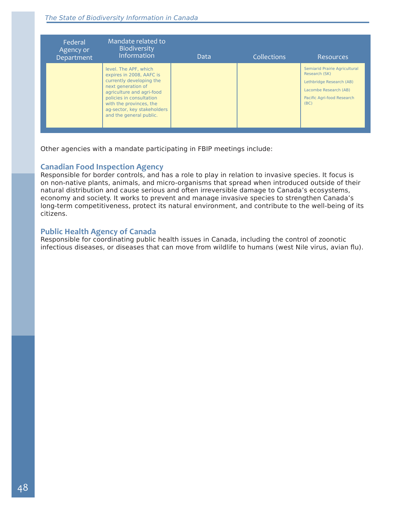| Federal<br>Agency or<br>Department | Mandate related to<br>Biodiversity<br>Information                                                                                                                                                                                                 | Data | <b>Collections</b> | Resources                                                                                                                                 |
|------------------------------------|---------------------------------------------------------------------------------------------------------------------------------------------------------------------------------------------------------------------------------------------------|------|--------------------|-------------------------------------------------------------------------------------------------------------------------------------------|
|                                    | level. The APF, which<br>expires in 2008, AAFC is<br>currently developing the<br>next generation of<br>agriculture and agri-food<br>policies in consultation<br>with the provinces, the<br>ag-sector, key stakeholders<br>and the general public. |      |                    | Semiarid Prairie Agricultural<br>Research (SK)<br>Lethbridge Research (AB)<br>Lacombe Research (AB)<br>Pacific Agri-food Research<br>(BC) |

Other agencies with a mandate participating in FBIP meetings include:

#### **Canadian Food Inspection Agency**

Responsible for border controls, and has a role to play in relation to invasive species. It focus is on non-native plants, animals, and micro-organisms that spread when introduced outside of their natural distribution and cause serious and often irreversible damage to Canada's ecosystems, economy and society. It works to prevent and manage invasive species to strengthen Canada's long-term competitiveness, protect its natural environment, and contribute to the well-being of its citizens.

#### **Public Health Agency of Canada**

Responsible for coordinating public health issues in Canada, including the control of zoonotic infectious diseases, or diseases that can move from wildlife to humans (west Nile virus, avian flu).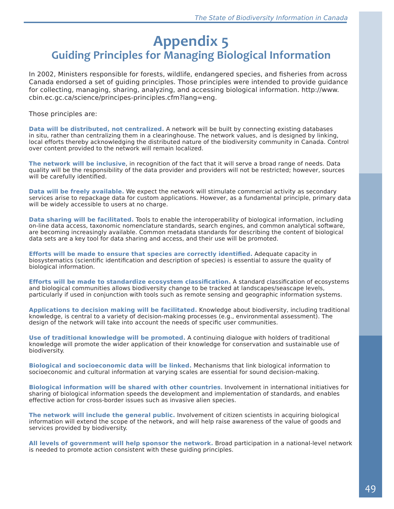# **Appendix 5 Guiding Principles for Managing Biological Information**

In 2002, Ministers responsible for forests, wildlife, endangered species, and fisheries from across Canada endorsed a set of guiding principles. Those principles were intended to provide guidance for collecting, managing, sharing, analyzing, and accessing biological information. http://www. cbin.ec.gc.ca/science/principes-principles.cfm?lang=eng.

Those principles are:

**Data will be distributed, not centralized.** A network will be built by connecting existing databases in situ, rather than centralizing them in a clearinghouse. The network values, and is designed by linking, local efforts thereby acknowledging the distributed nature of the biodiversity community in Canada. Control over content provided to the network will remain localized.

**The network will be inclusive**, in recognition of the fact that it will serve a broad range of needs. Data quality will be the responsibility of the data provider and providers will not be restricted; however, sources will be carefully identified.

**Data will be freely available.** We expect the network will stimulate commercial activity as secondary services arise to repackage data for custom applications. However, as a fundamental principle, primary data will be widely accessible to users at no charge.

**Data sharing will be facilitated.** Tools to enable the interoperability of biological information, including on-line data access, taxonomic nomenclature standards, search engines, and common analytical software, are becoming increasingly available. Common metadata standards for describing the content of biological data sets are a key tool for data sharing and access, and their use will be promoted.

**Efforts will be made to ensure that species are correctly identified.** Adequate capacity in biosystematics (scientific identification and description of species) is essential to assure the quality of biological information.

**Efforts will be made to standardize ecosystem classification.** A standard classification of ecosystems and biological communities allows biodiversity change to be tracked at landscapes/seascape levels, particularly if used in conjunction with tools such as remote sensing and geographic information systems.

**Applications to decision making will be facilitated.** Knowledge about biodiversity, including traditional knowledge, is central to a variety of decision-making processes (e.g., environmental assessment). The design of the network will take into account the needs of specific user communities.

**Use of traditional knowledge will be promoted.** A continuing dialogue with holders of traditional knowledge will promote the wider application of their knowledge for conservation and sustainable use of biodiversity.

**Biological and socioeconomic data will be linked.** Mechanisms that link biological information to socioeconomic and cultural information at varying scales are essential for sound decision-making.

**Biological information will be shared with other countries**. Involvement in international initiatives for sharing of biological information speeds the development and implementation of standards, and enables effective action for cross-border issues such as invasive alien species.

**The network will include the general public.** Involvement of citizen scientists in acquiring biological information will extend the scope of the network, and will help raise awareness of the value of goods and services provided by biodiversity.

**All levels of government will help sponsor the network.** Broad participation in a national-level network is needed to promote action consistent with these guiding principles.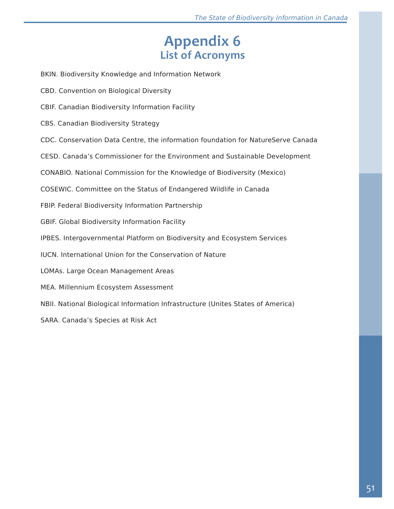# **Appendix 6 List of Acronyms**

BKIN. Biodiversity Knowledge and Information Network

- CBD. Convention on Biological Diversity
- CBIF. Canadian Biodiversity Information Facility
- CBS. Canadian Biodiversity Strategy
- CDC. Conservation Data Centre, the information foundation for NatureServe Canada

CESD. Canada's Commissioner for the Environment and Sustainable Development

CONABIO. National Commission for the Knowledge of Biodiversity (Mexico)

COSEWIC. Committee on the Status of Endangered Wildlife in Canada

FBIP. Federal Biodiversity Information Partnership

GBIF. Global Biodiversity Information Facility

IPBES. Intergovernmental Platform on Biodiversity and Ecosystem Services

IUCN. International Union for the Conservation of Nature

LOMAs. Large Ocean Management Areas

MEA. Millennium Ecosystem Assessment

NBII. National Biological Information Infrastructure (Unites States of America)

SARA. Canada's Species at Risk Act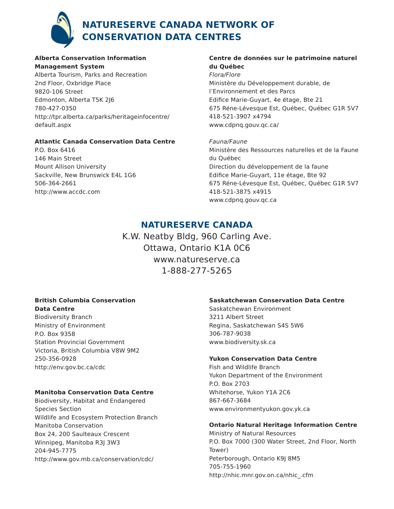

### **NatureServe Canada network of Conservation Data Centres**

#### **Alberta Conservation Information Management System**

Alberta Tourism, Parks and Recreation 2nd Floor, Oxbridge Place 9820-106 Street Edmonton, Alberta T5K 2J6 780-427-0350 http://tpr.alberta.ca/parks/heritageinfocentre/ default.aspx

#### **Atlantic Canada Conservation Data Centre**

P.O. Box 6416 146 Main Street Mount Allison University Sackville, New Brunswick E4L 1G6 506-364-2661 http://www.accdc.com

#### **Centre de données sur le patrimoine naturel du Québec**

Flora/Flore Ministère du Développement durable, de l'Environnement et des Parcs Edifice Marie-Guyart, 4e étage, Bte 21 675 Réne-Lévesque Est, Québec, Québec G1R 5V7 418-521-3907 x4794 www.cdpnq.gouv.qc.ca/

Fauna/Faune Ministère des Ressources naturelles et de la Faune du Québec Direction du développement de la faune Edifice Marie-Guyart, 11e étage, Bte 92 675 Réne-Lévesque Est, Québec, Québec G1R 5V7 418-521-3875 x4915 www.cdpnq.gouv.qc.ca

### **NatureServe Canada**

K.W. Neatby Bldg, 960 Carling Ave. Ottawa, Ontario K1A 0C6 www.natureserve.ca 1-888-277-5265

#### **British Columbia Conservation Data Centre**

Biodiversity Branch Ministry of Environment P.O. Box 9358 Station Provincial Government Victoria, British Columbia V8W 9M2 250-356-0928 http://env.gov.bc.ca/cdc

#### **Manitoba Conservation Data Centre**

Biodiversity, Habitat and Endangered Species Section Wildlife and Ecosystem Protection Branch Manitoba Conservation Box 24, 200 Saulteaux Crescent Winnipeg, Manitoba R3J 3W3 204-945-7775 http://www.gov.mb.ca/conservation/cdc/

#### **Saskatchewan Conservation Data Centre**

Saskatchewan Environment 3211 Albert Street Regina, Saskatchewan S4S 5W6 306-787-9038 www.biodiversity.sk.ca

#### **Yukon Conservation Data Centre**

Fish and Wildlife Branch Yukon Department of the Environment P.O. Box 2703 Whitehorse, Yukon Y1A 2C6 867-667-3684 www.environmentyukon.gov.yk.ca

#### **Ontario Natural Heritage Information Centre**

Ministry of Natural Resources P.O. Box 7000 (300 Water Street, 2nd Floor, North Tower) Peterborough, Ontario K9J 8M5 705-755-1960 http://nhic.mnr.gov.on.ca/nhic\_.cfm